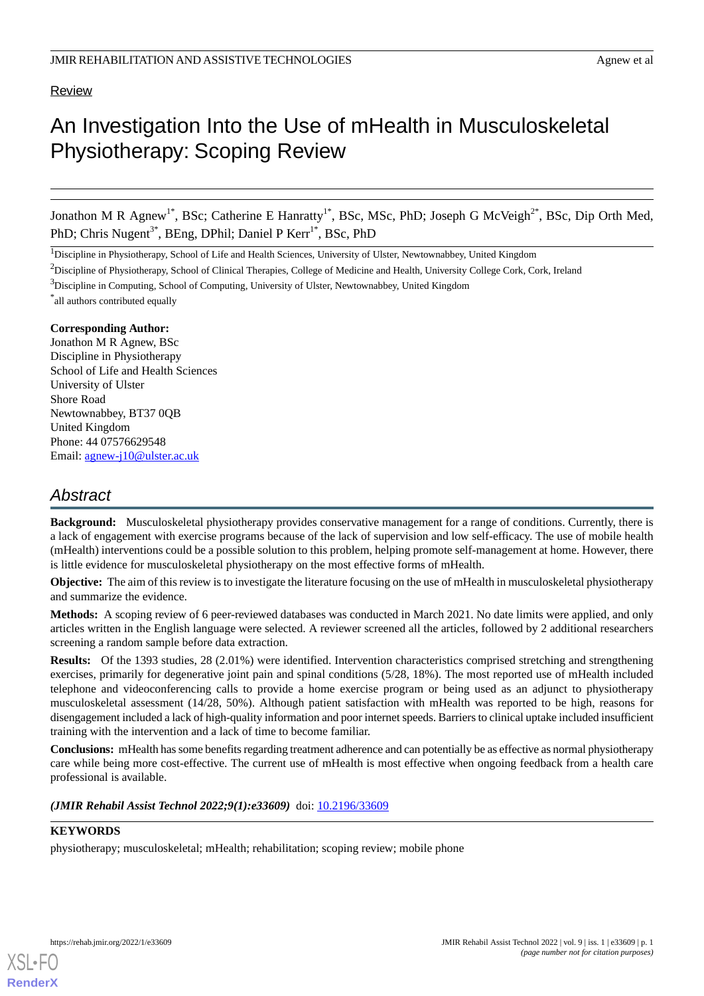# Review

# An Investigation Into the Use of mHealth in Musculoskeletal Physiotherapy: Scoping Review

Jonathon M R Agnew<sup>1\*</sup>, BSc; Catherine E Hanratty<sup>1\*</sup>, BSc, MSc, PhD; Joseph G McVeigh<sup>2\*</sup>, BSc, Dip Orth Med, PhD; Chris Nugent<sup>3\*</sup>, BEng, DPhil; Daniel P Kerr<sup>1\*</sup>, BSc, PhD

<sup>1</sup>Discipline in Physiotherapy, School of Life and Health Sciences, University of Ulster, Newtownabbey, United Kingdom

<sup>2</sup>Discipline of Physiotherapy, School of Clinical Therapies, College of Medicine and Health, University College Cork, Cork, Ireland

\* all authors contributed equally

### **Corresponding Author:**

Jonathon M R Agnew, BSc Discipline in Physiotherapy School of Life and Health Sciences University of Ulster Shore Road Newtownabbey, BT37 0QB United Kingdom Phone: 44 07576629548 Email: [agnew-j10@ulster.ac.uk](mailto:agnew-j10@ulster.ac.uk)

# *Abstract*

**Background:** Musculoskeletal physiotherapy provides conservative management for a range of conditions. Currently, there is a lack of engagement with exercise programs because of the lack of supervision and low self-efficacy. The use of mobile health (mHealth) interventions could be a possible solution to this problem, helping promote self-management at home. However, there is little evidence for musculoskeletal physiotherapy on the most effective forms of mHealth.

**Objective:** The aim of this review is to investigate the literature focusing on the use of mHealth in musculoskeletal physiotherapy and summarize the evidence.

**Methods:** A scoping review of 6 peer-reviewed databases was conducted in March 2021. No date limits were applied, and only articles written in the English language were selected. A reviewer screened all the articles, followed by 2 additional researchers screening a random sample before data extraction.

**Results:** Of the 1393 studies, 28 (2.01%) were identified. Intervention characteristics comprised stretching and strengthening exercises, primarily for degenerative joint pain and spinal conditions (5/28, 18%). The most reported use of mHealth included telephone and videoconferencing calls to provide a home exercise program or being used as an adjunct to physiotherapy musculoskeletal assessment (14/28, 50%). Although patient satisfaction with mHealth was reported to be high, reasons for disengagement included a lack of high-quality information and poor internet speeds. Barriers to clinical uptake included insufficient training with the intervention and a lack of time to become familiar.

**Conclusions:** mHealth has some benefits regarding treatment adherence and can potentially be as effective as normal physiotherapy care while being more cost-effective. The current use of mHealth is most effective when ongoing feedback from a health care professional is available.

*(JMIR Rehabil Assist Technol 2022;9(1):e33609)* doi: [10.2196/33609](http://dx.doi.org/10.2196/33609)

# **KEYWORDS**

physiotherapy; musculoskeletal; mHealth; rehabilitation; scoping review; mobile phone

<sup>&</sup>lt;sup>3</sup>Discipline in Computing, School of Computing, University of Ulster, Newtownabbey, United Kingdom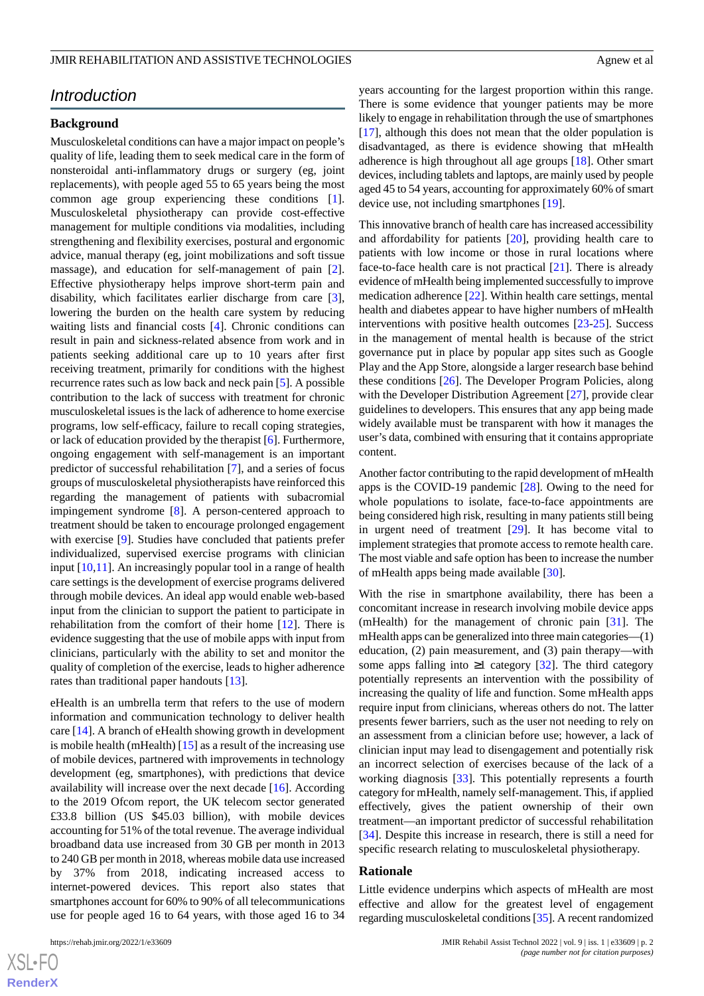# *Introduction*

### **Background**

Musculoskeletal conditions can have a major impact on people's quality of life, leading them to seek medical care in the form of nonsteroidal anti-inflammatory drugs or surgery (eg, joint replacements), with people aged 55 to 65 years being the most common age group experiencing these conditions [[1\]](#page-15-0). Musculoskeletal physiotherapy can provide cost-effective management for multiple conditions via modalities, including strengthening and flexibility exercises, postural and ergonomic advice, manual therapy (eg, joint mobilizations and soft tissue massage), and education for self-management of pain [[2\]](#page-15-1). Effective physiotherapy helps improve short-term pain and disability, which facilitates earlier discharge from care [[3\]](#page-15-2), lowering the burden on the health care system by reducing waiting lists and financial costs [\[4](#page-15-3)]. Chronic conditions can result in pain and sickness-related absence from work and in patients seeking additional care up to 10 years after first receiving treatment, primarily for conditions with the highest recurrence rates such as low back and neck pain [[5\]](#page-15-4). A possible contribution to the lack of success with treatment for chronic musculoskeletal issues is the lack of adherence to home exercise programs, low self-efficacy, failure to recall coping strategies, or lack of education provided by the therapist [\[6](#page-15-5)]. Furthermore, ongoing engagement with self-management is an important predictor of successful rehabilitation [[7\]](#page-15-6), and a series of focus groups of musculoskeletal physiotherapists have reinforced this regarding the management of patients with subacromial impingement syndrome [\[8](#page-15-7)]. A person-centered approach to treatment should be taken to encourage prolonged engagement with exercise [\[9\]](#page-15-8). Studies have concluded that patients prefer individualized, supervised exercise programs with clinician input [[10,](#page-15-9)[11](#page-15-10)]. An increasingly popular tool in a range of health care settings is the development of exercise programs delivered through mobile devices. An ideal app would enable web-based input from the clinician to support the patient to participate in rehabilitation from the comfort of their home [\[12](#page-15-11)]. There is evidence suggesting that the use of mobile apps with input from clinicians, particularly with the ability to set and monitor the quality of completion of the exercise, leads to higher adherence rates than traditional paper handouts [[13\]](#page-15-12).

eHealth is an umbrella term that refers to the use of modern information and communication technology to deliver health care [[14\]](#page-15-13). A branch of eHealth showing growth in development is mobile health (mHealth) [\[15](#page-15-14)] as a result of the increasing use of mobile devices, partnered with improvements in technology development (eg, smartphones), with predictions that device availability will increase over the next decade [\[16](#page-15-15)]. According to the 2019 Ofcom report, the UK telecom sector generated £33.8 billion (US \$45.03 billion), with mobile devices accounting for 51% of the total revenue. The average individual broadband data use increased from 30 GB per month in 2013 to 240 GB per month in 2018, whereas mobile data use increased by 37% from 2018, indicating increased access to internet-powered devices. This report also states that smartphones account for 60% to 90% of all telecommunications use for people aged 16 to 64 years, with those aged 16 to 34

 $XS$ -FO **[RenderX](http://www.renderx.com/)** years accounting for the largest proportion within this range. There is some evidence that younger patients may be more likely to engage in rehabilitation through the use of smartphones [[17\]](#page-15-16), although this does not mean that the older population is disadvantaged, as there is evidence showing that mHealth adherence is high throughout all age groups [\[18](#page-15-17)]. Other smart devices, including tablets and laptops, are mainly used by people aged 45 to 54 years, accounting for approximately 60% of smart device use, not including smartphones [\[19](#page-15-18)].

This innovative branch of health care has increased accessibility and affordability for patients [[20\]](#page-15-19), providing health care to patients with low income or those in rural locations where face-to-face health care is not practical [\[21](#page-15-20)]. There is already evidence of mHealth being implemented successfully to improve medication adherence [[22\]](#page-16-0). Within health care settings, mental health and diabetes appear to have higher numbers of mHealth interventions with positive health outcomes [\[23](#page-16-1)-[25\]](#page-16-2). Success in the management of mental health is because of the strict governance put in place by popular app sites such as Google Play and the App Store, alongside a larger research base behind these conditions [[26\]](#page-16-3). The Developer Program Policies, along with the Developer Distribution Agreement [\[27](#page-16-4)], provide clear guidelines to developers. This ensures that any app being made widely available must be transparent with how it manages the user's data, combined with ensuring that it contains appropriate content.

Another factor contributing to the rapid development of mHealth apps is the COVID-19 pandemic [\[28](#page-16-5)]. Owing to the need for whole populations to isolate, face-to-face appointments are being considered high risk, resulting in many patients still being in urgent need of treatment [[29\]](#page-16-6). It has become vital to implement strategies that promote access to remote health care. The most viable and safe option has been to increase the number of mHealth apps being made available [[30\]](#page-16-7).

With the rise in smartphone availability, there has been a concomitant increase in research involving mobile device apps (mHealth) for the management of chronic pain [\[31](#page-16-8)]. The mHealth apps can be generalized into three main categories—(1) education, (2) pain measurement, and (3) pain therapy—with some apps falling into  $\geq 1$  category [\[32](#page-16-9)]. The third category potentially represents an intervention with the possibility of increasing the quality of life and function. Some mHealth apps require input from clinicians, whereas others do not. The latter presents fewer barriers, such as the user not needing to rely on an assessment from a clinician before use; however, a lack of clinician input may lead to disengagement and potentially risk an incorrect selection of exercises because of the lack of a working diagnosis [\[33](#page-16-10)]. This potentially represents a fourth category for mHealth, namely self-management. This, if applied effectively, gives the patient ownership of their own treatment—an important predictor of successful rehabilitation [[34\]](#page-16-11). Despite this increase in research, there is still a need for specific research relating to musculoskeletal physiotherapy.

#### **Rationale**

Little evidence underpins which aspects of mHealth are most effective and allow for the greatest level of engagement regarding musculoskeletal conditions [\[35\]](#page-16-12). A recent randomized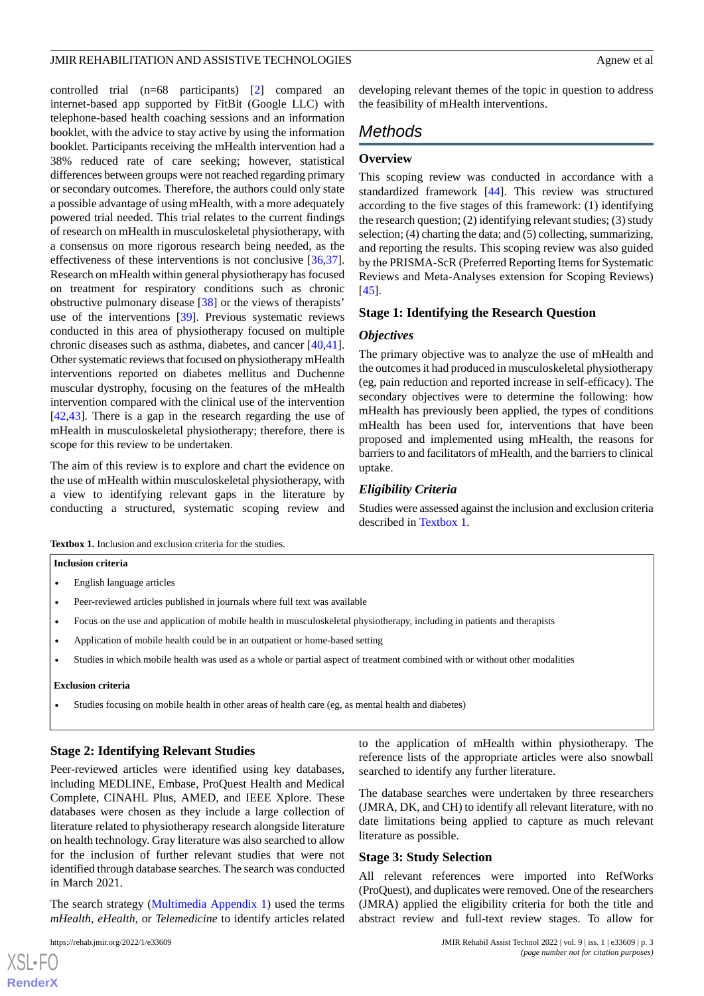controlled trial (n=68 participants) [\[2](#page-15-1)] compared an internet-based app supported by FitBit (Google LLC) with telephone-based health coaching sessions and an information booklet, with the advice to stay active by using the information booklet. Participants receiving the mHealth intervention had a 38% reduced rate of care seeking; however, statistical differences between groups were not reached regarding primary or secondary outcomes. Therefore, the authors could only state a possible advantage of using mHealth, with a more adequately powered trial needed. This trial relates to the current findings of research on mHealth in musculoskeletal physiotherapy, with a consensus on more rigorous research being needed, as the effectiveness of these interventions is not conclusive [\[36](#page-16-13),[37\]](#page-16-14). Research on mHealth within general physiotherapy has focused on treatment for respiratory conditions such as chronic obstructive pulmonary disease [[38\]](#page-16-15) or the views of therapists' use of the interventions [[39\]](#page-16-16). Previous systematic reviews conducted in this area of physiotherapy focused on multiple chronic diseases such as asthma, diabetes, and cancer [\[40](#page-16-17),[41\]](#page-16-18). Other systematic reviews that focused on physiotherapy mHealth interventions reported on diabetes mellitus and Duchenne muscular dystrophy, focusing on the features of the mHealth intervention compared with the clinical use of the intervention [[42](#page-16-19)[,43](#page-16-20)]. There is a gap in the research regarding the use of mHealth in musculoskeletal physiotherapy; therefore, there is scope for this review to be undertaken.

<span id="page-2-0"></span>The aim of this review is to explore and chart the evidence on the use of mHealth within musculoskeletal physiotherapy, with a view to identifying relevant gaps in the literature by conducting a structured, systematic scoping review and developing relevant themes of the topic in question to address the feasibility of mHealth interventions.

# *Methods*

## **Overview**

This scoping review was conducted in accordance with a standardized framework [\[44](#page-17-0)]. This review was structured according to the five stages of this framework: (1) identifying the research question; (2) identifying relevant studies; (3) study selection; (4) charting the data; and (5) collecting, summarizing, and reporting the results. This scoping review was also guided by the PRISMA-ScR (Preferred Reporting Items for Systematic Reviews and Meta-Analyses extension for Scoping Reviews) [[45\]](#page-17-1).

### **Stage 1: Identifying the Research Question**

#### *Objectives*

The primary objective was to analyze the use of mHealth and the outcomes it had produced in musculoskeletal physiotherapy (eg, pain reduction and reported increase in self-efficacy). The secondary objectives were to determine the following: how mHealth has previously been applied, the types of conditions mHealth has been used for, interventions that have been proposed and implemented using mHealth, the reasons for barriers to and facilitators of mHealth, and the barriers to clinical uptake.

## *Eligibility Criteria*

Studies were assessed against the inclusion and exclusion criteria described in [Textbox 1.](#page-2-0)

**Textbox 1.** Inclusion and exclusion criteria for the studies.

- English language articles
- Peer-reviewed articles published in journals where full text was available
- Focus on the use and application of mobile health in musculoskeletal physiotherapy, including in patients and therapists
- Application of mobile health could be in an outpatient or home-based setting
- Studies in which mobile health was used as a whole or partial aspect of treatment combined with or without other modalities

#### **Exclusion criteria**

• Studies focusing on mobile health in other areas of health care (eg, as mental health and diabetes)

### **Stage 2: Identifying Relevant Studies**

Peer-reviewed articles were identified using key databases, including MEDLINE, Embase, ProQuest Health and Medical Complete, CINAHL Plus, AMED, and IEEE Xplore. These databases were chosen as they include a large collection of literature related to physiotherapy research alongside literature on health technology. Gray literature was also searched to allow for the inclusion of further relevant studies that were not identified through database searches. The search was conducted in March 2021.

The search strategy [\(Multimedia Appendix 1\)](#page-15-21) used the terms *mHealth*, *eHealth*, or *Telemedicine* to identify articles related

 $XS$ -FO **[RenderX](http://www.renderx.com/)** to the application of mHealth within physiotherapy. The reference lists of the appropriate articles were also snowball searched to identify any further literature.

The database searches were undertaken by three researchers (JMRA, DK, and CH) to identify all relevant literature, with no date limitations being applied to capture as much relevant literature as possible.

### **Stage 3: Study Selection**

All relevant references were imported into RefWorks (ProQuest), and duplicates were removed. One of the researchers (JMRA) applied the eligibility criteria for both the title and abstract review and full-text review stages. To allow for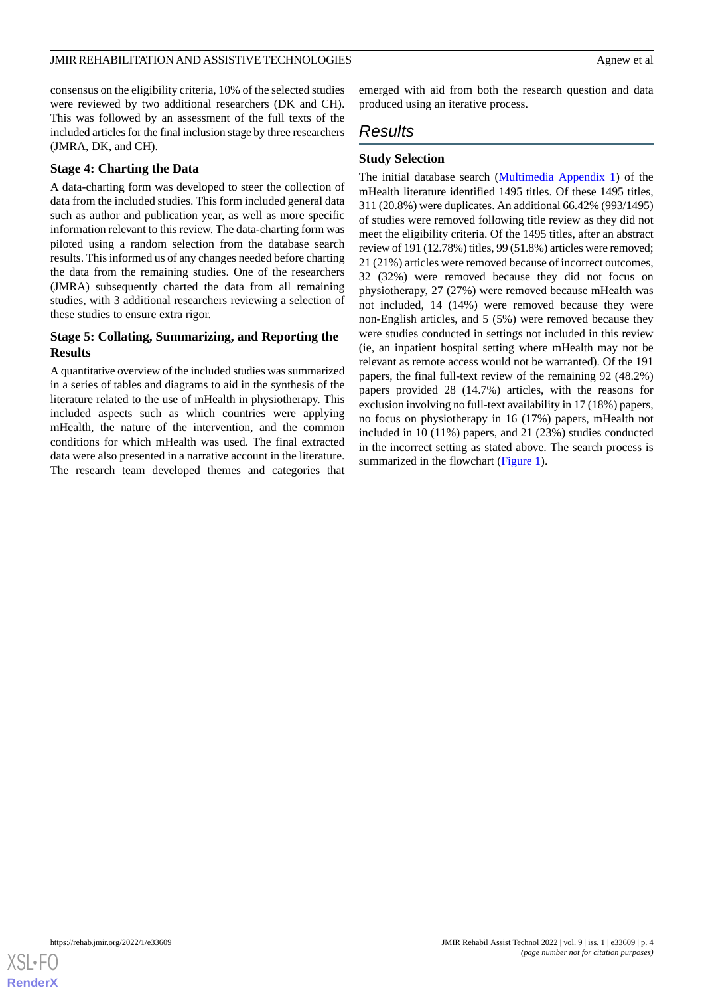consensus on the eligibility criteria, 10% of the selected studies were reviewed by two additional researchers (DK and CH). This was followed by an assessment of the full texts of the included articles for the final inclusion stage by three researchers (JMRA, DK, and CH).

## **Stage 4: Charting the Data**

A data-charting form was developed to steer the collection of data from the included studies. This form included general data such as author and publication year, as well as more specific information relevant to this review. The data-charting form was piloted using a random selection from the database search results. This informed us of any changes needed before charting the data from the remaining studies. One of the researchers (JMRA) subsequently charted the data from all remaining studies, with 3 additional researchers reviewing a selection of these studies to ensure extra rigor.

# **Stage 5: Collating, Summarizing, and Reporting the Results**

A quantitative overview of the included studies was summarized in a series of tables and diagrams to aid in the synthesis of the literature related to the use of mHealth in physiotherapy. This included aspects such as which countries were applying mHealth, the nature of the intervention, and the common conditions for which mHealth was used. The final extracted data were also presented in a narrative account in the literature. The research team developed themes and categories that

emerged with aid from both the research question and data produced using an iterative process.

# *Results*

# **Study Selection**

The initial database search ([Multimedia Appendix 1\)](#page-15-21) of the mHealth literature identified 1495 titles. Of these 1495 titles, 311 (20.8%) were duplicates. An additional 66.42% (993/1495) of studies were removed following title review as they did not meet the eligibility criteria. Of the 1495 titles, after an abstract review of 191 (12.78%) titles, 99 (51.8%) articles were removed; 21 (21%) articles were removed because of incorrect outcomes, 32 (32%) were removed because they did not focus on physiotherapy, 27 (27%) were removed because mHealth was not included, 14 (14%) were removed because they were non-English articles, and 5 (5%) were removed because they were studies conducted in settings not included in this review (ie, an inpatient hospital setting where mHealth may not be relevant as remote access would not be warranted). Of the 191 papers, the final full-text review of the remaining 92 (48.2%) papers provided 28 (14.7%) articles, with the reasons for exclusion involving no full-text availability in 17 (18%) papers, no focus on physiotherapy in 16 (17%) papers, mHealth not included in 10 (11%) papers, and 21 (23%) studies conducted in the incorrect setting as stated above. The search process is summarized in the flowchart ([Figure 1\)](#page-4-0).

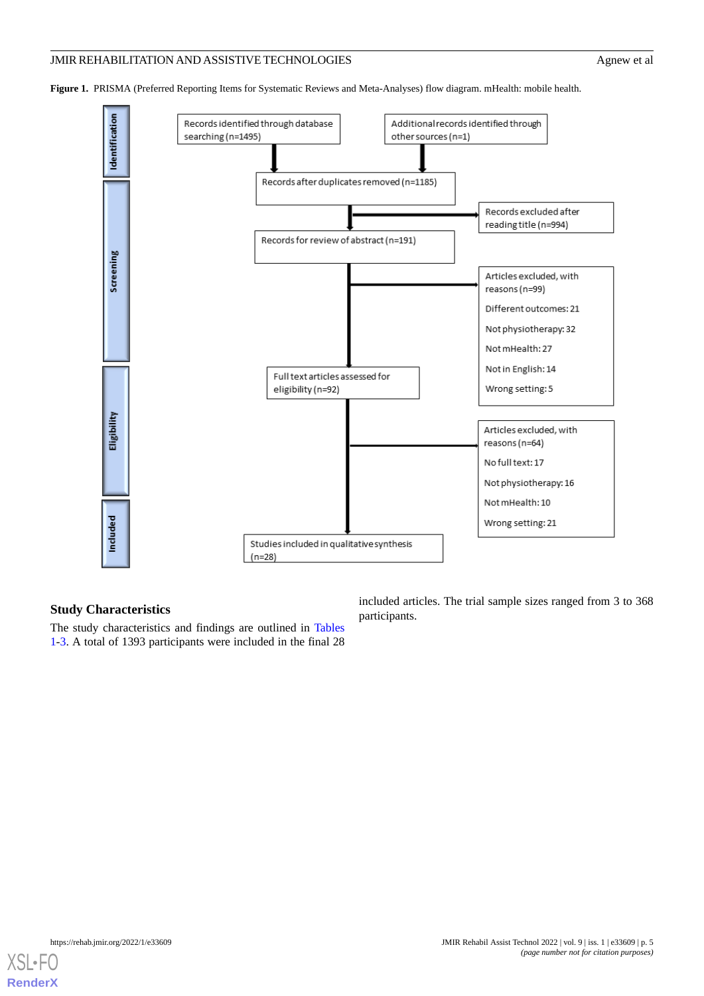<span id="page-4-0"></span>**Figure 1.** PRISMA (Preferred Reporting Items for Systematic Reviews and Meta-Analyses) flow diagram. mHealth: mobile health.



### **Study Characteristics**

The study characteristics and findings are outlined in [Tables](#page-5-0) [1-](#page-5-0)[3.](#page-9-0) A total of 1393 participants were included in the final 28 included articles. The trial sample sizes ranged from 3 to 368 participants.

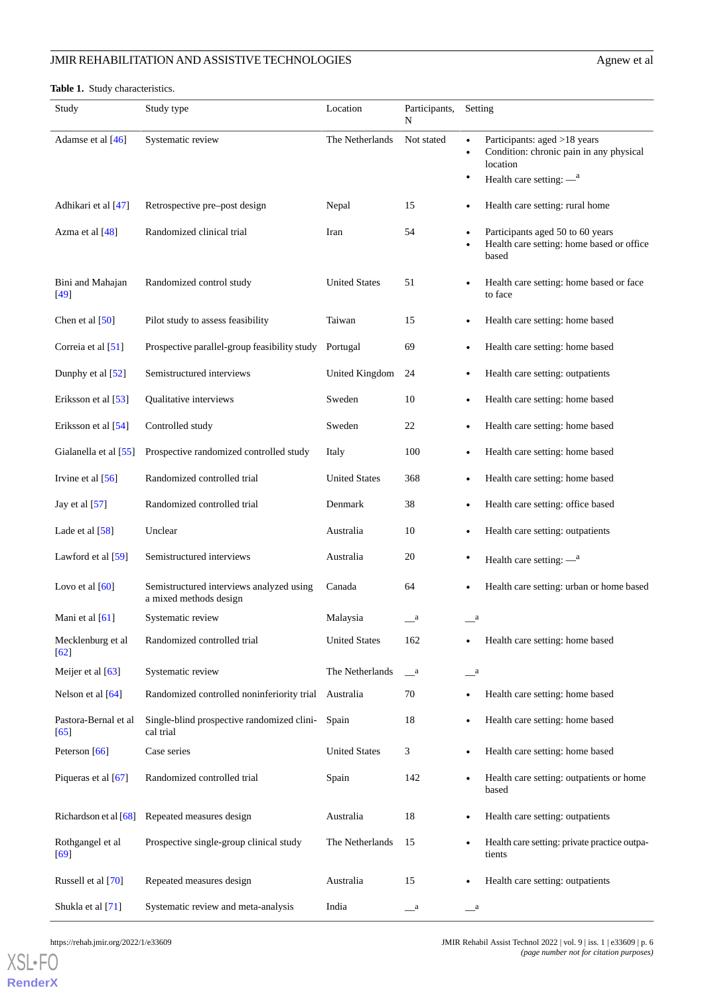#### <span id="page-5-0"></span>**Table 1.** Study characteristics.

| Study                        | Study type                                                         | Location             | Participants,<br>N    | Setting                                                                                          |
|------------------------------|--------------------------------------------------------------------|----------------------|-----------------------|--------------------------------------------------------------------------------------------------|
| Adamse et al [46]            | Systematic review                                                  | The Netherlands      | Not stated            | Participants: aged >18 years<br>Condition: chronic pain in any physical<br>$\bullet$<br>location |
|                              |                                                                    |                      |                       | Health care setting: $-\text{}^{a}$<br>٠                                                         |
| Adhikari et al [47]          | Retrospective pre-post design                                      | Nepal                | 15                    | Health care setting: rural home                                                                  |
| Azma et al [48]              | Randomized clinical trial                                          | Iran                 | 54                    | Participants aged 50 to 60 years<br>Health care setting: home based or office<br>based           |
| Bini and Mahajan<br>$[49]$   | Randomized control study                                           | <b>United States</b> | 51                    | Health care setting: home based or face<br>to face                                               |
| Chen et al [50]              | Pilot study to assess feasibility                                  | Taiwan               | 15                    | Health care setting: home based                                                                  |
| Correia et al [51]           | Prospective parallel-group feasibility study                       | Portugal             | 69                    | Health care setting: home based                                                                  |
| Dunphy et al [52]            | Semistructured interviews                                          | United Kingdom       | 24                    | Health care setting: outpatients                                                                 |
| Eriksson et al [53]          | Qualitative interviews                                             | Sweden               | 10                    | Health care setting: home based                                                                  |
| Eriksson et al [54]          | Controlled study                                                   | Sweden               | 22                    | Health care setting: home based                                                                  |
| Gialanella et al [55]        | Prospective randomized controlled study                            | Italy                | 100                   | Health care setting: home based                                                                  |
| Irvine et al $[56]$          | Randomized controlled trial                                        | <b>United States</b> | 368                   | Health care setting: home based                                                                  |
| Jay et al $[57]$             | Randomized controlled trial                                        | Denmark              | 38                    | Health care setting: office based                                                                |
| Lade et al $[58]$            | Unclear                                                            | Australia            | 10                    | Health care setting: outpatients                                                                 |
| Lawford et al $[59]$         | Semistructured interviews                                          | Australia            | 20                    | $\bullet$<br>Health care setting: $-\text{}^{a}$                                                 |
| Lovo et al $[60]$            | Semistructured interviews analyzed using<br>a mixed methods design | Canada               | 64                    | Health care setting: urban or home based                                                         |
| Mani et al [61]              | Systematic review                                                  | Malaysia             | $\mathbf{a}$          | $\overset{\quad \quad \quad }{-}^a$                                                              |
| Mecklenburg et al<br>[62]    | Randomized controlled trial                                        | <b>United States</b> | 162                   | Health care setting: home based                                                                  |
| Meijer et al [63]            | Systematic review                                                  | The Netherlands      | <sub>a</sub>          | $\mathbf{a}$                                                                                     |
| Nelson et al [64]            | Randomized controlled noninferiority trial Australia               |                      | 70                    | Health care setting: home based                                                                  |
| Pastora-Bernal et al<br>[65] | Single-blind prospective randomized clini-<br>cal trial            | Spain                | 18                    | Health care setting: home based                                                                  |
| Peterson [66]                | Case series                                                        | <b>United States</b> | 3                     | Health care setting: home based                                                                  |
| Piqueras et al [67]          | Randomized controlled trial                                        | Spain                | 142                   | Health care setting: outpatients or home<br>based                                                |
| Richardson et al [68]        | Repeated measures design                                           | Australia            | 18                    | Health care setting: outpatients                                                                 |
| Rothgangel et al<br>$[69]$   | Prospective single-group clinical study                            | The Netherlands      | 15                    | Health care setting: private practice outpa-<br>tients                                           |
| Russell et al [70]           | Repeated measures design                                           | Australia            | 15                    | Health care setting: outpatients                                                                 |
| Shukla et al [71]            | Systematic review and meta-analysis                                | India                | $\equiv$ <sup>a</sup> | $\equiv$ <sup>a</sup>                                                                            |

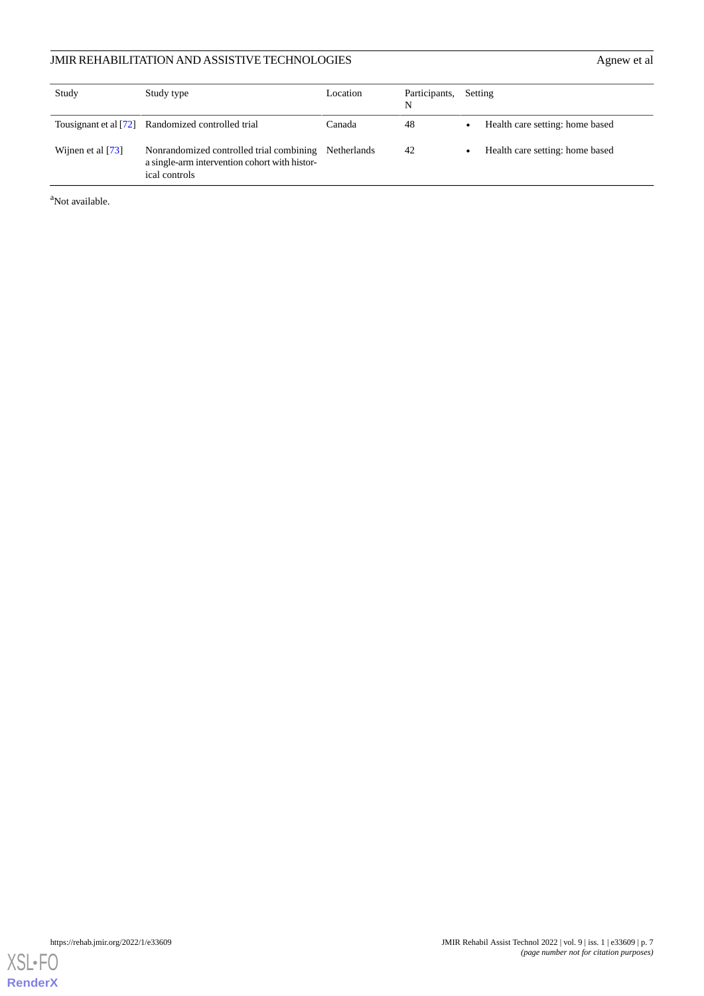| Study                 | Study type                                                                                                 | Location    | Participants,<br>N | Setting                         |
|-----------------------|------------------------------------------------------------------------------------------------------------|-------------|--------------------|---------------------------------|
| Tousignant et al [72] | Randomized controlled trial                                                                                | Canada      | 48                 | Health care setting: home based |
| Wijnen et al [73]     | Nonrandomized controlled trial combining<br>a single-arm intervention cohort with histor-<br>ical controls | Netherlands | 42                 | Health care setting: home based |

<sup>a</sup>Not available.

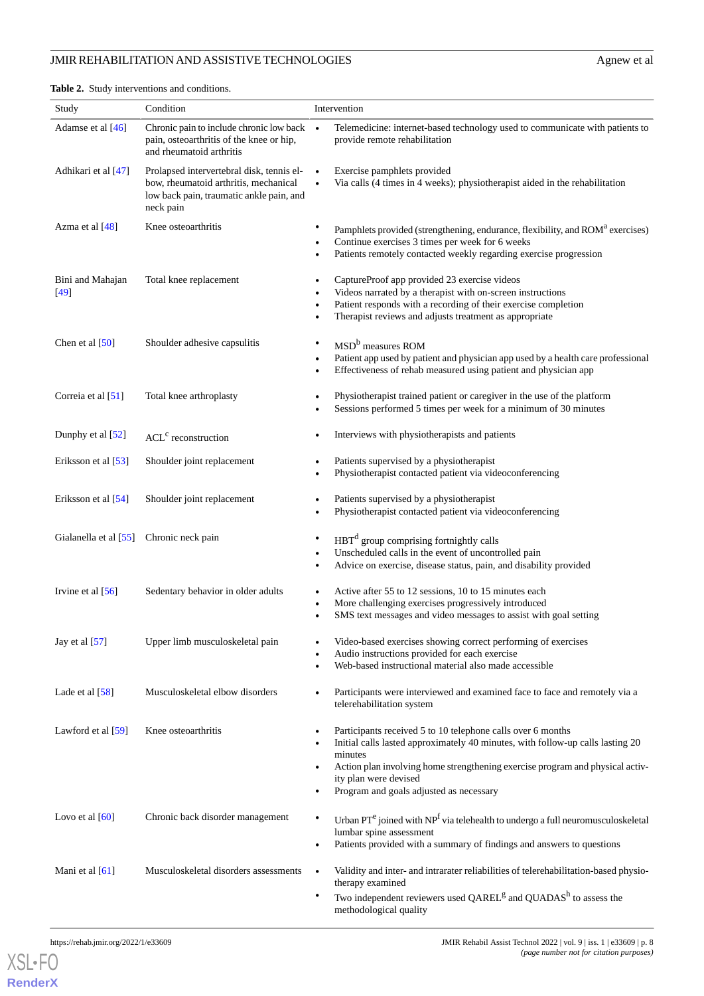<span id="page-7-0"></span>**Table 2.** Study interventions and conditions.

| Study                      | Condition                                                                                                                                   | Intervention                                                                                                                                                                                                                                                                                                                    |  |  |
|----------------------------|---------------------------------------------------------------------------------------------------------------------------------------------|---------------------------------------------------------------------------------------------------------------------------------------------------------------------------------------------------------------------------------------------------------------------------------------------------------------------------------|--|--|
| Adamse et al [46]          | Chronic pain to include chronic low back •<br>pain, osteoarthritis of the knee or hip,<br>and rheumatoid arthritis                          | Telemedicine: internet-based technology used to communicate with patients to<br>provide remote rehabilitation                                                                                                                                                                                                                   |  |  |
| Adhikari et al [47]        | Prolapsed intervertebral disk, tennis el-<br>bow, rheumatoid arthritis, mechanical<br>low back pain, traumatic ankle pain, and<br>neck pain | Exercise pamphlets provided<br>$\bullet$<br>Via calls (4 times in 4 weeks); physiotherapist aided in the rehabilitation<br>$\bullet$                                                                                                                                                                                            |  |  |
| Azma et al [48]            | Knee osteoarthritis                                                                                                                         | Pamphlets provided (strengthening, endurance, flexibility, and ROM <sup>a</sup> exercises)<br>Continue exercises 3 times per week for 6 weeks<br>Patients remotely contacted weekly regarding exercise progression<br>$\bullet$                                                                                                 |  |  |
| Bini and Mahajan<br>$[49]$ | Total knee replacement                                                                                                                      | CaptureProof app provided 23 exercise videos<br>٠<br>Videos narrated by a therapist with on-screen instructions<br>٠<br>Patient responds with a recording of their exercise completion<br>$\bullet$<br>Therapist reviews and adjusts treatment as appropriate                                                                   |  |  |
| Chen et al $[50]$          | Shoulder adhesive capsulitis                                                                                                                | MSD <sup>b</sup> measures ROM<br>$\bullet$<br>Patient app used by patient and physician app used by a health care professional<br>$\bullet$<br>Effectiveness of rehab measured using patient and physician app<br>$\bullet$                                                                                                     |  |  |
| Correia et al $[51]$       | Total knee arthroplasty                                                                                                                     | Physiotherapist trained patient or caregiver in the use of the platform<br>$\bullet$<br>Sessions performed 5 times per week for a minimum of 30 minutes                                                                                                                                                                         |  |  |
| Dunphy et al [52]          | $ACLc$ reconstruction                                                                                                                       | Interviews with physiotherapists and patients                                                                                                                                                                                                                                                                                   |  |  |
| Eriksson et al [53]        | Shoulder joint replacement                                                                                                                  | Patients supervised by a physiotherapist<br>Physiotherapist contacted patient via videoconferencing                                                                                                                                                                                                                             |  |  |
| Eriksson et al [54]        | Shoulder joint replacement                                                                                                                  | Patients supervised by a physiotherapist<br>٠<br>Physiotherapist contacted patient via videoconferencing                                                                                                                                                                                                                        |  |  |
| Gialanella et al [55]      | Chronic neck pain                                                                                                                           | $HBTd$ group comprising fortnightly calls<br>Unscheduled calls in the event of uncontrolled pain<br>٠<br>Advice on exercise, disease status, pain, and disability provided<br>$\bullet$                                                                                                                                         |  |  |
| Irvine et al $[56]$        | Sedentary behavior in older adults                                                                                                          | Active after 55 to 12 sessions, 10 to 15 minutes each<br>$\bullet$<br>More challenging exercises progressively introduced<br>٠<br>SMS text messages and video messages to assist with goal setting<br>$\bullet$                                                                                                                 |  |  |
| Jay et al $[57]$           | Upper limb musculoskeletal pain                                                                                                             | Video-based exercises showing correct performing of exercises<br>$\bullet$<br>Audio instructions provided for each exercise<br>Web-based instructional material also made accessible<br>$\bullet$                                                                                                                               |  |  |
| Lade et al [58]            | Musculoskeletal elbow disorders                                                                                                             | Participants were interviewed and examined face to face and remotely via a<br>٠<br>telerehabilitation system                                                                                                                                                                                                                    |  |  |
| Lawford et al [59]         | Knee osteoarthritis                                                                                                                         | Participants received 5 to 10 telephone calls over 6 months<br>Initial calls lasted approximately 40 minutes, with follow-up calls lasting 20<br>$\bullet$<br>minutes<br>Action plan involving home strengthening exercise program and physical activ-<br>ity plan were devised<br>Program and goals adjusted as necessary<br>٠ |  |  |
| Lovo et al $[60]$          | Chronic back disorder management                                                                                                            | Urban $PT^e$ joined with $NP^f$ via telehealth to undergo a full neuromusculoskeletal<br>٠<br>lumbar spine assessment<br>Patients provided with a summary of findings and answers to questions<br>٠                                                                                                                             |  |  |
| Mani et al [61]            | Musculoskeletal disorders assessments                                                                                                       | Validity and inter- and intrarater reliabilities of telerehabilitation-based physio-<br>therapy examined<br>Two independent reviewers used QAREL <sup>g</sup> and QUADAS <sup>h</sup> to assess the<br>٠                                                                                                                        |  |  |
|                            |                                                                                                                                             | methodological quality                                                                                                                                                                                                                                                                                                          |  |  |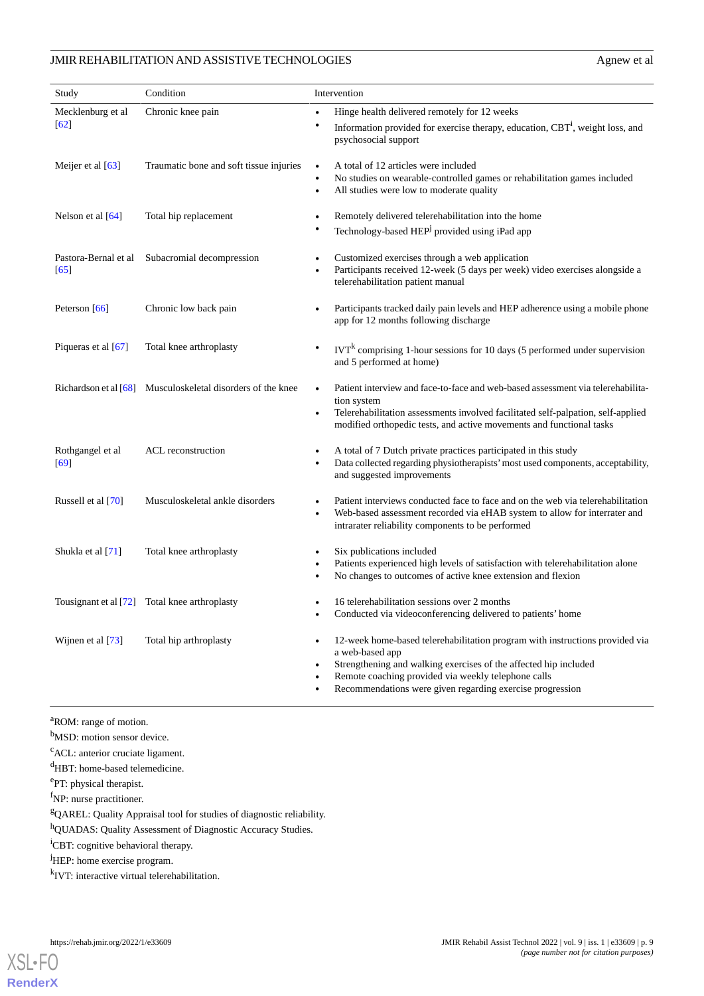| Study                        | Condition                                                     | Intervention                                                                                                                                                                                                                                                                                                                                |  |
|------------------------------|---------------------------------------------------------------|---------------------------------------------------------------------------------------------------------------------------------------------------------------------------------------------------------------------------------------------------------------------------------------------------------------------------------------------|--|
| Mecklenburg et al<br>$[62]$  | Chronic knee pain                                             | Hinge health delivered remotely for 12 weeks<br>$\bullet$<br>$\bullet$<br>Information provided for exercise therapy, education, CBT <sup>i</sup> , weight loss, and<br>psychosocial support                                                                                                                                                 |  |
| Meijer et al $[63]$          | Traumatic bone and soft tissue injuries                       | A total of 12 articles were included<br>$\bullet$<br>No studies on wearable-controlled games or rehabilitation games included<br>$\bullet$<br>All studies were low to moderate quality<br>$\bullet$                                                                                                                                         |  |
| Nelson et al $[64]$          | Total hip replacement                                         | Remotely delivered telerehabilitation into the home<br>$\bullet$<br>Technology-based HEP <sup>j</sup> provided using iPad app<br>$\bullet$                                                                                                                                                                                                  |  |
| Pastora-Bernal et al<br>[65] | Subacromial decompression                                     | Customized exercises through a web application<br>$\bullet$<br>Participants received 12-week (5 days per week) video exercises alongside a<br>$\bullet$<br>telerehabilitation patient manual                                                                                                                                                |  |
| Peterson [66]                | Chronic low back pain                                         | Participants tracked daily pain levels and HEP adherence using a mobile phone<br>app for 12 months following discharge                                                                                                                                                                                                                      |  |
| Piqueras et al $[67]$        | Total knee arthroplasty                                       | $\text{IVT}^k$ comprising 1-hour sessions for 10 days (5 performed under supervision<br>$\bullet$<br>and 5 performed at home)                                                                                                                                                                                                               |  |
|                              | Richardson et al $[68]$ Musculoskeletal disorders of the knee | Patient interview and face-to-face and web-based assessment via telerehabilita-<br>tion system<br>Telerehabilitation assessments involved facilitated self-palpation, self-applied<br>$\bullet$<br>modified orthopedic tests, and active movements and functional tasks                                                                     |  |
| Rothgangel et al<br>[69]     | ACL reconstruction                                            | A total of 7 Dutch private practices participated in this study<br>$\bullet$<br>Data collected regarding physiotherapists' most used components, acceptability,<br>$\bullet$<br>and suggested improvements                                                                                                                                  |  |
| Russell et al [70]           | Musculoskeletal ankle disorders                               | Patient interviews conducted face to face and on the web via telerehabilitation<br>$\bullet$<br>Web-based assessment recorded via eHAB system to allow for interrater and<br>$\bullet$<br>intrarater reliability components to be performed                                                                                                 |  |
| Shukla et al [71]            | Total knee arthroplasty                                       | Six publications included<br>$\bullet$<br>Patients experienced high levels of satisfaction with telerehabilitation alone<br>$\bullet$<br>No changes to outcomes of active knee extension and flexion<br>$\bullet$                                                                                                                           |  |
|                              | Tousignant et al [72] Total knee arthroplasty                 | 16 telerehabilitation sessions over 2 months<br>$\bullet$<br>Conducted via videoconferencing delivered to patients' home<br>$\bullet$                                                                                                                                                                                                       |  |
| Wijnen et al [73]            | Total hip arthroplasty                                        | 12-week home-based telerehabilitation program with instructions provided via<br>$\bullet$<br>a web-based app<br>Strengthening and walking exercises of the affected hip included<br>$\bullet$<br>Remote coaching provided via weekly telephone calls<br>$\bullet$<br>Recommendations were given regarding exercise progression<br>$\bullet$ |  |

<sup>a</sup>ROM: range of motion.

b<sub>MSD</sub>: motion sensor device.

<sup>c</sup>ACL: anterior cruciate ligament.

<sup>d</sup>HBT: home-based telemedicine.

e<sub>PT</sub>: physical therapist.

f<sub>NP</sub>: nurse practitioner.

<sup>g</sup>QAREL: Quality Appraisal tool for studies of diagnostic reliability.

<sup>h</sup>QUADAS: Quality Assessment of Diagnostic Accuracy Studies.

<sup>i</sup>CBT: cognitive behavioral therapy.

<sup>j</sup>HEP: home exercise program.

<sup>k</sup>IVT: interactive virtual telerehabilitation.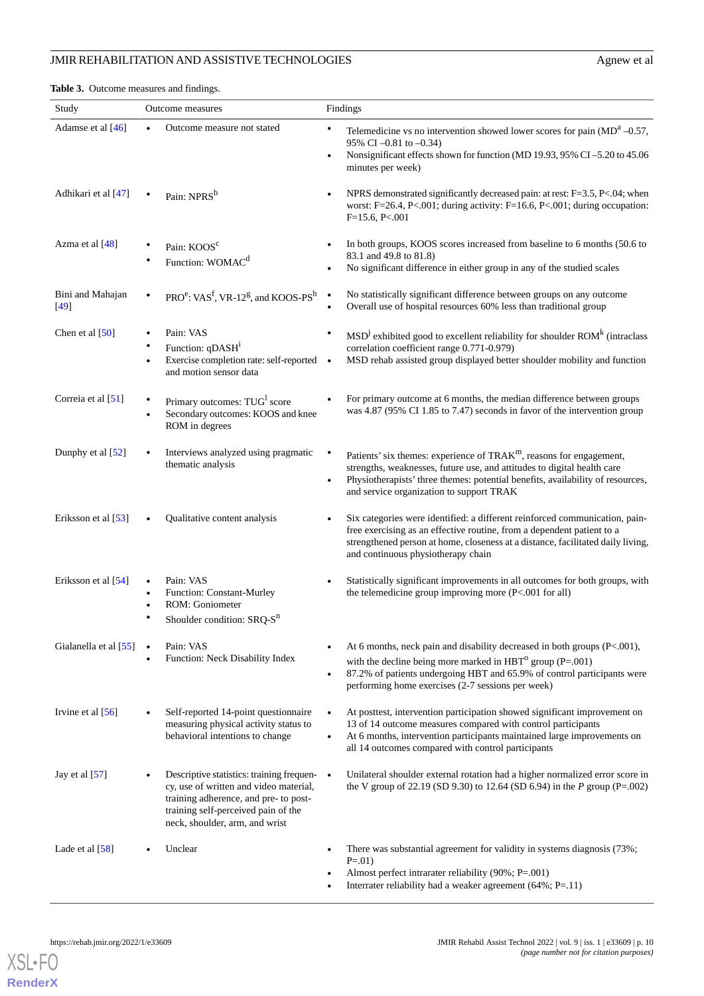<span id="page-9-0"></span>**Table 3.** Outcome measures and findings.

| Study                      |           | Outcome measures                                                                                                                                                                                        |                        | Findings                                                                                                                                                                                                                                                                                 |
|----------------------------|-----------|---------------------------------------------------------------------------------------------------------------------------------------------------------------------------------------------------------|------------------------|------------------------------------------------------------------------------------------------------------------------------------------------------------------------------------------------------------------------------------------------------------------------------------------|
| Adamse et al [46]          |           | Outcome measure not stated                                                                                                                                                                              | $\bullet$<br>$\bullet$ | Telemedicine vs no intervention showed lower scores for pain $(MDa -0.57)$ ,<br>95% CI -0.81 to -0.34)<br>Nonsignificant effects shown for function (MD 19.93, 95% CI-5.20 to 45.06<br>minutes per week)                                                                                 |
| Adhikari et al [47]        |           | Pain: NPRS <sup>b</sup>                                                                                                                                                                                 | $\bullet$              | NPRS demonstrated significantly decreased pain: at rest: F=3.5, P<.04; when<br>worst: F=26.4, P<.001; during activity: F=16.6, P<.001; during occupation:<br>$F=15.6, P<.001$                                                                                                            |
| Azma et al [48]            |           | Pain: KOOS <sup>c</sup><br>Function: WOMAC <sup>d</sup>                                                                                                                                                 | $\bullet$              | In both groups, KOOS scores increased from baseline to 6 months (50.6 to<br>83.1 and 49.8 to 81.8)<br>No significant difference in either group in any of the studied scales                                                                                                             |
| Bini and Mahajan<br>$[49]$ |           | PRO <sup>e</sup> : VAS <sup>f</sup> , VR-12 <sup>g</sup> , and KOOS-PS <sup>h</sup>                                                                                                                     | $\bullet$<br>$\bullet$ | No statistically significant difference between groups on any outcome<br>Overall use of hospital resources 60% less than traditional group                                                                                                                                               |
| Chen et al $[50]$          | $\bullet$ | Pain: VAS<br>Function: qDASH <sup>1</sup><br>Exercise completion rate: self-reported<br>and motion sensor data                                                                                          | ٠<br>$\bullet$         | $MSDj$ exhibited good to excellent reliability for shoulder ROM <sup>k</sup> (intraclass<br>correlation coefficient range 0.771-0.979)<br>MSD rehab assisted group displayed better shoulder mobility and function                                                                       |
| Correia et al [51]         |           | Primary outcomes: TUG <sup>1</sup> score<br>Secondary outcomes: KOOS and knee<br>ROM in degrees                                                                                                         |                        | For primary outcome at 6 months, the median difference between groups<br>was 4.87 (95% CI 1.85 to 7.47) seconds in favor of the intervention group                                                                                                                                       |
| Dunphy et al $[52]$        |           | Interviews analyzed using pragmatic<br>thematic analysis                                                                                                                                                | $\bullet$<br>$\bullet$ | Patients' six themes: experience of TRAK <sup>m</sup> , reasons for engagement,<br>strengths, weaknesses, future use, and attitudes to digital health care<br>Physiotherapists' three themes: potential benefits, availability of resources,<br>and service organization to support TRAK |
| Eriksson et al [53]        |           | Qualitative content analysis                                                                                                                                                                            | ٠                      | Six categories were identified: a different reinforced communication, pain-<br>free exercising as an effective routine, from a dependent patient to a<br>strengthened person at home, closeness at a distance, facilitated daily living,<br>and continuous physiotherapy chain           |
| Eriksson et al [54]        |           | Pain: VAS<br>Function: Constant-Murley<br>ROM: Goniometer<br>Shoulder condition: SRQ-S <sup>n</sup>                                                                                                     | ٠                      | Statistically significant improvements in all outcomes for both groups, with<br>the telemedicine group improving more $(P<.001$ for all)                                                                                                                                                 |
| Gialanella et al [55]      |           | Pain: VAS<br>Function: Neck Disability Index                                                                                                                                                            | $\bullet$<br>$\bullet$ | At 6 months, neck pain and disability decreased in both groups $(P<.001)$ ,<br>with the decline being more marked in $HBT^{\circ}$ group (P=.001)<br>87.2% of patients undergoing HBT and 65.9% of control participants were<br>performing home exercises (2-7 sessions per week)        |
| Irvine et al $[56]$        |           | Self-reported 14-point questionnaire<br>measuring physical activity status to<br>behavioral intentions to change                                                                                        | $\bullet$<br>$\bullet$ | At posttest, intervention participation showed significant improvement on<br>13 of 14 outcome measures compared with control participants<br>At 6 months, intervention participants maintained large improvements on<br>all 14 outcomes compared with control participants               |
| Jay et al $[57]$           |           | Descriptive statistics: training frequen- •<br>cy, use of written and video material,<br>training adherence, and pre- to post-<br>training self-perceived pain of the<br>neck, shoulder, arm, and wrist |                        | Unilateral shoulder external rotation had a higher normalized error score in<br>the V group of 22.19 (SD 9.30) to 12.64 (SD 6.94) in the P group (P=.002)                                                                                                                                |
| Lade et al $[58]$          |           | Unclear                                                                                                                                                                                                 | $\bullet$              | There was substantial agreement for validity in systems diagnosis (73%;<br>$P = 01$<br>Almost perfect intrarater reliability (90%; P=.001)<br>Interrater reliability had a weaker agreement $(64\%; P=.11)$                                                                              |

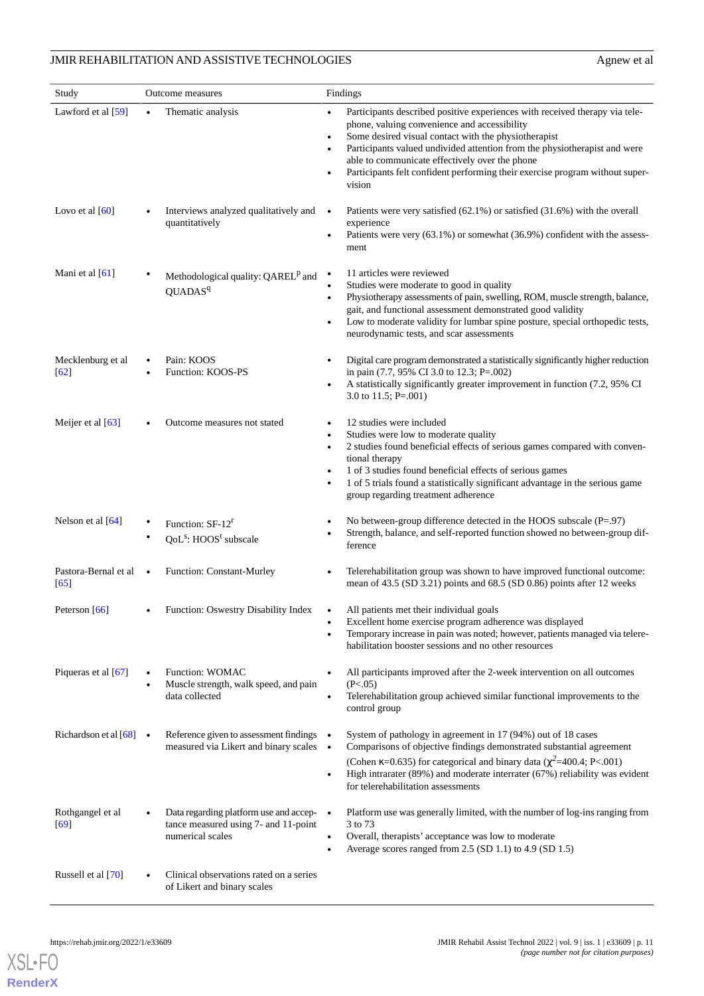| Study                                  |           | Outcome measures                                                                                     | Findings                                                                                                                                                                                                                                                                                                                                                                                                                                                         |  |
|----------------------------------------|-----------|------------------------------------------------------------------------------------------------------|------------------------------------------------------------------------------------------------------------------------------------------------------------------------------------------------------------------------------------------------------------------------------------------------------------------------------------------------------------------------------------------------------------------------------------------------------------------|--|
| Lawford et al $[59]$                   | $\bullet$ | Thematic analysis                                                                                    | Participants described positive experiences with received therapy via tele-<br>$\bullet$<br>phone, valuing convenience and accessibility<br>Some desired visual contact with the physiotherapist<br>$\bullet$<br>Participants valued undivided attention from the physiotherapist and were<br>$\bullet$<br>able to communicate effectively over the phone<br>Participants felt confident performing their exercise program without super-<br>$\bullet$<br>vision |  |
| Lovo et al $[60]$                      |           | Interviews analyzed qualitatively and<br>quantitatively                                              | Patients were very satisfied $(62.1\%)$ or satisfied $(31.6\%)$ with the overall<br>$\bullet$<br>experience<br>Patients were very $(63.1\%)$ or somewhat $(36.9\%)$ confident with the assess-<br>$\bullet$<br>ment                                                                                                                                                                                                                                              |  |
| Mani et al $[61]$                      |           | Methodological quality: QAREL <sup>p</sup> and<br>QUADAS <sup>q</sup>                                | 11 articles were reviewed<br>$\bullet$<br>Studies were moderate to good in quality<br>$\bullet$<br>Physiotherapy assessments of pain, swelling, ROM, muscle strength, balance,<br>$\bullet$<br>gait, and functional assessment demonstrated good validity<br>Low to moderate validity for lumbar spine posture, special orthopedic tests,<br>٠<br>neurodynamic tests, and scar assessments                                                                       |  |
| Mecklenburg et al<br>$\left[62\right]$ |           | Pain: KOOS<br>Function: KOOS-PS                                                                      | Digital care program demonstrated a statistically significantly higher reduction<br>$\bullet$<br>in pain (7.7, 95% CI 3.0 to 12.3; P=.002)<br>A statistically significantly greater improvement in function (7.2, 95% CI<br>٠<br>3.0 to 11.5; P=.001)                                                                                                                                                                                                            |  |
| Meijer et al [63]                      |           | Outcome measures not stated                                                                          | 12 studies were included<br>$\bullet$<br>Studies were low to moderate quality<br>$\bullet$<br>2 studies found beneficial effects of serious games compared with conven-<br>$\bullet$<br>tional therapy<br>1 of 3 studies found beneficial effects of serious games<br>$\bullet$<br>1 of 5 trials found a statistically significant advantage in the serious game<br>$\bullet$<br>group regarding treatment adherence                                             |  |
| Nelson et al [64]                      |           | Function: SF-12 <sup>r</sup><br>$QoLs$ : HOOS <sup>t</sup> subscale                                  | No between-group difference detected in the HOOS subscale $(P=.97)$<br>٠<br>Strength, balance, and self-reported function showed no between-group dif-<br>$\bullet$<br>ference                                                                                                                                                                                                                                                                                   |  |
| Pastora-Bernal et al<br>[65]           |           | Function: Constant-Murley                                                                            | Telerehabilitation group was shown to have improved functional outcome:<br>$\bullet$<br>mean of $43.5$ (SD $3.21$ ) points and $68.5$ (SD $0.86$ ) points after 12 weeks                                                                                                                                                                                                                                                                                         |  |
| Peterson [66]                          |           | <b>Function: Oswestry Disability Index</b> •                                                         | All patients met their individual goals<br>Excellent home exercise program adherence was displayed<br>٠<br>Temporary increase in pain was noted; however, patients managed via telere-<br>habilitation booster sessions and no other resources                                                                                                                                                                                                                   |  |
| Piqueras et al $[67]$                  |           | Function: WOMAC<br>Muscle strength, walk speed, and pain<br>data collected                           | All participants improved after the 2-week intervention on all outcomes<br>$\bullet$<br>(P<.05)<br>Telerehabilitation group achieved similar functional improvements to the<br>$\bullet$<br>control group                                                                                                                                                                                                                                                        |  |
| Richardson et al $[68]$ $\bullet$      |           | Reference given to assessment findings •<br>measured via Likert and binary scales •                  | System of pathology in agreement in 17 (94%) out of 18 cases<br>Comparisons of objective findings demonstrated substantial agreement<br>(Cohen $\kappa$ =0.635) for categorical and binary data ( $\chi^2$ =400.4; P<.001)<br>High intrarater (89%) and moderate interrater (67%) reliability was evident<br>$\bullet$<br>for telerehabilitation assessments                                                                                                     |  |
| Rothgangel et al<br>[69]               |           | Data regarding platform use and accep- •<br>tance measured using 7- and 11-point<br>numerical scales | Platform use was generally limited, with the number of log-ins ranging from<br>3 to 73<br>Overall, therapists' acceptance was low to moderate<br>$\bullet$<br>Average scores ranged from 2.5 (SD 1.1) to 4.9 (SD 1.5)<br>$\bullet$                                                                                                                                                                                                                               |  |
| Russell et al [70]                     |           | Clinical observations rated on a series<br>of Likert and binary scales                               |                                                                                                                                                                                                                                                                                                                                                                                                                                                                  |  |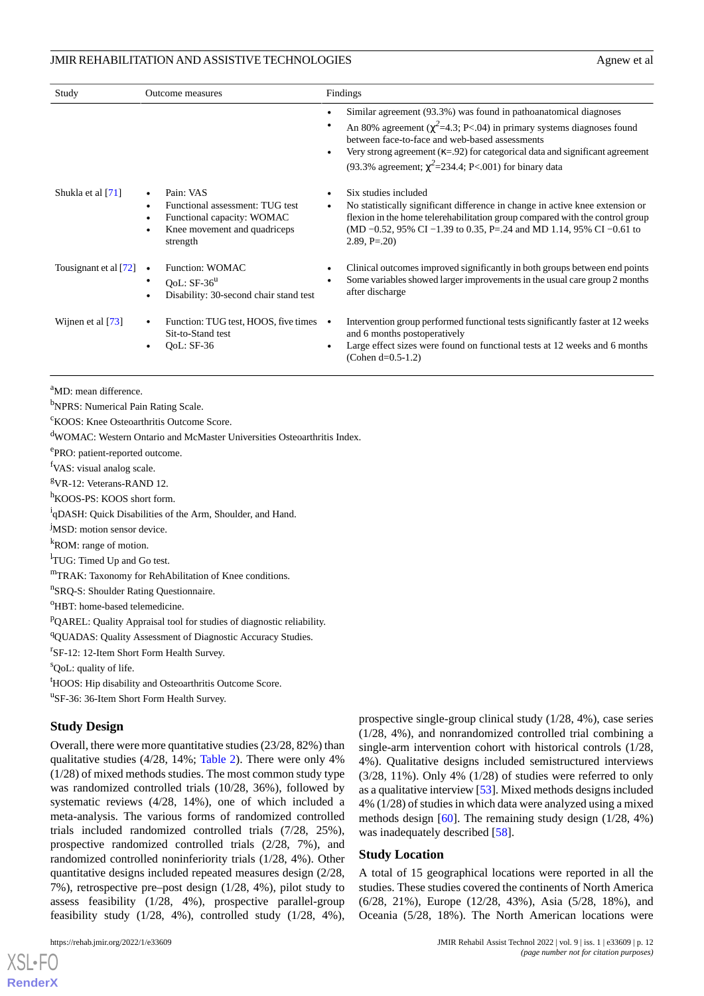| Study                 | Outcome measures                                                                                                       | Findings                                                                                                                                                                                                                                                                                                                                                                                        |  |  |
|-----------------------|------------------------------------------------------------------------------------------------------------------------|-------------------------------------------------------------------------------------------------------------------------------------------------------------------------------------------------------------------------------------------------------------------------------------------------------------------------------------------------------------------------------------------------|--|--|
|                       |                                                                                                                        | Similar agreement (93.3%) was found in pathoanatomical diagnoses<br>$\bullet$<br>An 80% agreement ( $\chi^2$ =4.3; P<.04) in primary systems diagnoses found<br>$\bullet$<br>between face-to-face and web-based assessments<br>Very strong agreement $(\kappa = .92)$ for categorical data and significant agreement<br>$\bullet$<br>(93.3% agreement; $\chi^2$ =234.4; P<.001) for binary data |  |  |
| Shukla et al [71]     | Pain: VAS<br>Functional assessment: TUG test<br>Functional capacity: WOMAC<br>Knee movement and quadriceps<br>strength | Six studies included<br>No statistically significant difference in change in active knee extension or<br>$\bullet$<br>flexion in the home telerehabilitation group compared with the control group<br>(MD $-0.52$ , 95% CI $-1.39$ to 0.35, P=.24 and MD 1.14, 95% CI $-0.61$ to<br>$2.89, P = .20$                                                                                             |  |  |
| Tousignant et al [72] | Function: WOMAC<br>$\bullet$<br>OoL: $SF-36^u$<br>Disability: 30-second chair stand test                               | Clinical outcomes improved significantly in both groups between end points<br>Some variables showed larger improvements in the usual care group 2 months<br>after discharge                                                                                                                                                                                                                     |  |  |
| Wijnen et al $[73]$   | Function: TUG test, HOOS, five times $\bullet$<br>Sit-to-Stand test<br>OoL: SF-36                                      | Intervention group performed functional tests significantly faster at 12 weeks<br>and 6 months postoperatively<br>Large effect sizes were found on functional tests at 12 weeks and 6 months<br>(Cohen $d=0.5-1.2$ )                                                                                                                                                                            |  |  |

<sup>a</sup>MD: mean difference.

<sup>b</sup>NPRS: Numerical Pain Rating Scale.

<sup>c</sup>KOOS: Knee Osteoarthritis Outcome Score.

<sup>d</sup>WOMAC: Western Ontario and McMaster Universities Osteoarthritis Index.

ePRO: patient-reported outcome.

<sup>f</sup>VAS: visual analog scale.

<sup>g</sup>VR-12: Veterans-RAND 12.

<sup>h</sup>KOOS-PS: KOOS short form.

<sup>i</sup>qDASH: Quick Disabilities of the Arm, Shoulder, and Hand.

<sup>j</sup>MSD: motion sensor device.

<sup>k</sup>ROM: range of motion.

<sup>1</sup>TUG: Timed Up and Go test.

<sup>m</sup>TRAK: Taxonomy for RehAbilitation of Knee conditions.

n SRQ-S: Shoulder Rating Questionnaire.

<sup>o</sup>HBT: home-based telemedicine.

<sup>p</sup>QAREL: Quality Appraisal tool for studies of diagnostic reliability.

<sup>q</sup>QUADAS: Quality Assessment of Diagnostic Accuracy Studies.

<sup>r</sup>SF-12: 12-Item Short Form Health Survey.

<sup>s</sup>QoL: quality of life.

<sup>t</sup>HOOS: Hip disability and Osteoarthritis Outcome Score.

<sup>u</sup>SF-36: 36-Item Short Form Health Survey.

#### **Study Design**

Overall, there were more quantitative studies (23/28, 82%) than qualitative studies (4/28, 14%; [Table 2](#page-7-0)). There were only 4% (1/28) of mixed methods studies. The most common study type was randomized controlled trials (10/28, 36%), followed by systematic reviews (4/28, 14%), one of which included a meta-analysis. The various forms of randomized controlled trials included randomized controlled trials (7/28, 25%), prospective randomized controlled trials (2/28, 7%), and randomized controlled noninferiority trials (1/28, 4%). Other quantitative designs included repeated measures design (2/28, 7%), retrospective pre–post design (1/28, 4%), pilot study to assess feasibility (1/28, 4%), prospective parallel-group feasibility study (1/28, 4%), controlled study (1/28, 4%),

 $X$ SL•F $O$ **[RenderX](http://www.renderx.com/)** prospective single-group clinical study (1/28, 4%), case series (1/28, 4%), and nonrandomized controlled trial combining a single-arm intervention cohort with historical controls (1/28, 4%). Qualitative designs included semistructured interviews (3/28, 11%). Only 4% (1/28) of studies were referred to only as a qualitative interview [\[53\]](#page-17-9). Mixed methods designs included 4% (1/28) of studies in which data were analyzed using a mixed methods design [\[60](#page-17-16)]. The remaining study design (1/28, 4%) was inadequately described [\[58](#page-17-14)].

#### **Study Location**

A total of 15 geographical locations were reported in all the studies. These studies covered the continents of North America (6/28, 21%), Europe (12/28, 43%), Asia (5/28, 18%), and Oceania (5/28, 18%). The North American locations were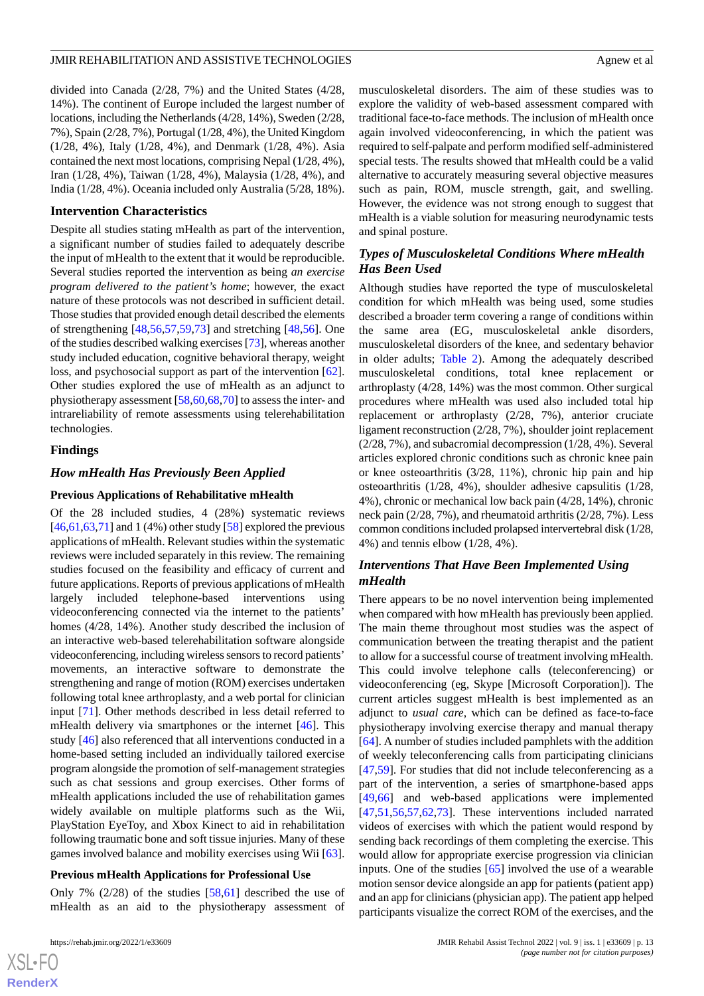divided into Canada (2/28, 7%) and the United States (4/28, 14%). The continent of Europe included the largest number of locations, including the Netherlands (4/28, 14%), Sweden (2/28, 7%), Spain (2/28, 7%), Portugal (1/28, 4%), the United Kingdom (1/28, 4%), Italy (1/28, 4%), and Denmark (1/28, 4%). Asia contained the next most locations, comprising Nepal (1/28, 4%), Iran (1/28, 4%), Taiwan (1/28, 4%), Malaysia (1/28, 4%), and India (1/28, 4%). Oceania included only Australia (5/28, 18%).

#### **Intervention Characteristics**

Despite all studies stating mHealth as part of the intervention, a significant number of studies failed to adequately describe the input of mHealth to the extent that it would be reproducible. Several studies reported the intervention as being *an exercise program delivered to the patient's home*; however, the exact nature of these protocols was not described in sufficient detail. Those studies that provided enough detail described the elements of strengthening [\[48](#page-17-4),[56](#page-17-12)[,57](#page-17-13),[59](#page-17-15)[,73](#page-18-8)] and stretching [[48,](#page-17-4)[56](#page-17-12)]. One of the studies described walking exercises [\[73](#page-18-8)], whereas another study included education, cognitive behavioral therapy, weight loss, and psychosocial support as part of the intervention [[62\]](#page-17-18). Other studies explored the use of mHealth as an adjunct to physiotherapy assessment [[58,](#page-17-14)[60](#page-17-16),[68,](#page-18-3)[70](#page-18-5)] to assess the inter- and intrareliability of remote assessments using telerehabilitation technologies.

#### **Findings**

### *How mHealth Has Previously Been Applied*

#### **Previous Applications of Rehabilitative mHealth**

Of the 28 included studies, 4 (28%) systematic reviews  $[46,61,63,71]$  $[46,61,63,71]$  $[46,61,63,71]$  $[46,61,63,71]$  $[46,61,63,71]$  $[46,61,63,71]$  $[46,61,63,71]$  and 1 (4%) other study  $[58]$  $[58]$  explored the previous applications of mHealth. Relevant studies within the systematic reviews were included separately in this review. The remaining studies focused on the feasibility and efficacy of current and future applications. Reports of previous applications of mHealth largely included telephone-based interventions using videoconferencing connected via the internet to the patients' homes (4/28, 14%). Another study described the inclusion of an interactive web-based telerehabilitation software alongside videoconferencing, including wireless sensors to record patients' movements, an interactive software to demonstrate the strengthening and range of motion (ROM) exercises undertaken following total knee arthroplasty, and a web portal for clinician input [[71\]](#page-18-6). Other methods described in less detail referred to mHealth delivery via smartphones or the internet [\[46](#page-17-2)]. This study [[46\]](#page-17-2) also referenced that all interventions conducted in a home-based setting included an individually tailored exercise program alongside the promotion of self-management strategies such as chat sessions and group exercises. Other forms of mHealth applications included the use of rehabilitation games widely available on multiple platforms such as the Wii, PlayStation EyeToy, and Xbox Kinect to aid in rehabilitation following traumatic bone and soft tissue injuries. Many of these games involved balance and mobility exercises using Wii [[63\]](#page-17-19).

#### **Previous mHealth Applications for Professional Use**

Only 7% (2/28) of the studies [[58](#page-17-14)[,61](#page-17-17)] described the use of mHealth as an aid to the physiotherapy assessment of musculoskeletal disorders. The aim of these studies was to explore the validity of web-based assessment compared with traditional face-to-face methods. The inclusion of mHealth once again involved videoconferencing, in which the patient was required to self-palpate and perform modified self-administered special tests. The results showed that mHealth could be a valid alternative to accurately measuring several objective measures such as pain, ROM, muscle strength, gait, and swelling. However, the evidence was not strong enough to suggest that mHealth is a viable solution for measuring neurodynamic tests and spinal posture.

# *Types of Musculoskeletal Conditions Where mHealth Has Been Used*

Although studies have reported the type of musculoskeletal condition for which mHealth was being used, some studies described a broader term covering a range of conditions within the same area (EG, musculoskeletal ankle disorders, musculoskeletal disorders of the knee, and sedentary behavior in older adults; [Table 2](#page-7-0)). Among the adequately described musculoskeletal conditions, total knee replacement or arthroplasty (4/28, 14%) was the most common. Other surgical procedures where mHealth was used also included total hip replacement or arthroplasty (2/28, 7%), anterior cruciate ligament reconstruction (2/28, 7%), shoulder joint replacement (2/28, 7%), and subacromial decompression (1/28, 4%). Several articles explored chronic conditions such as chronic knee pain or knee osteoarthritis (3/28, 11%), chronic hip pain and hip osteoarthritis (1/28, 4%), shoulder adhesive capsulitis (1/28, 4%), chronic or mechanical low back pain (4/28, 14%), chronic neck pain (2/28, 7%), and rheumatoid arthritis (2/28, 7%). Less common conditions included prolapsed intervertebral disk (1/28, 4%) and tennis elbow (1/28, 4%).

# *Interventions That Have Been Implemented Using mHealth*

There appears to be no novel intervention being implemented when compared with how mHealth has previously been applied. The main theme throughout most studies was the aspect of communication between the treating therapist and the patient to allow for a successful course of treatment involving mHealth. This could involve telephone calls (teleconferencing) or videoconferencing (eg, Skype [Microsoft Corporation]). The current articles suggest mHealth is best implemented as an adjunct to *usual care*, which can be defined as face-to-face physiotherapy involving exercise therapy and manual therapy [[64\]](#page-17-20). A number of studies included pamphlets with the addition of weekly teleconferencing calls from participating clinicians [[47,](#page-17-3)[59\]](#page-17-15). For studies that did not include teleconferencing as a part of the intervention, a series of smartphone-based apps [[49,](#page-17-5)[66\]](#page-18-1) and web-based applications were implemented [[47,](#page-17-3)[51,](#page-17-7)[56](#page-17-12)[,57](#page-17-13),[62,](#page-17-18)[73\]](#page-18-8). These interventions included narrated videos of exercises with which the patient would respond by sending back recordings of them completing the exercise. This would allow for appropriate exercise progression via clinician inputs. One of the studies [\[65](#page-18-0)] involved the use of a wearable motion sensor device alongside an app for patients (patient app) and an app for clinicians (physician app). The patient app helped participants visualize the correct ROM of the exercises, and the

```
XS-FO
RenderX
```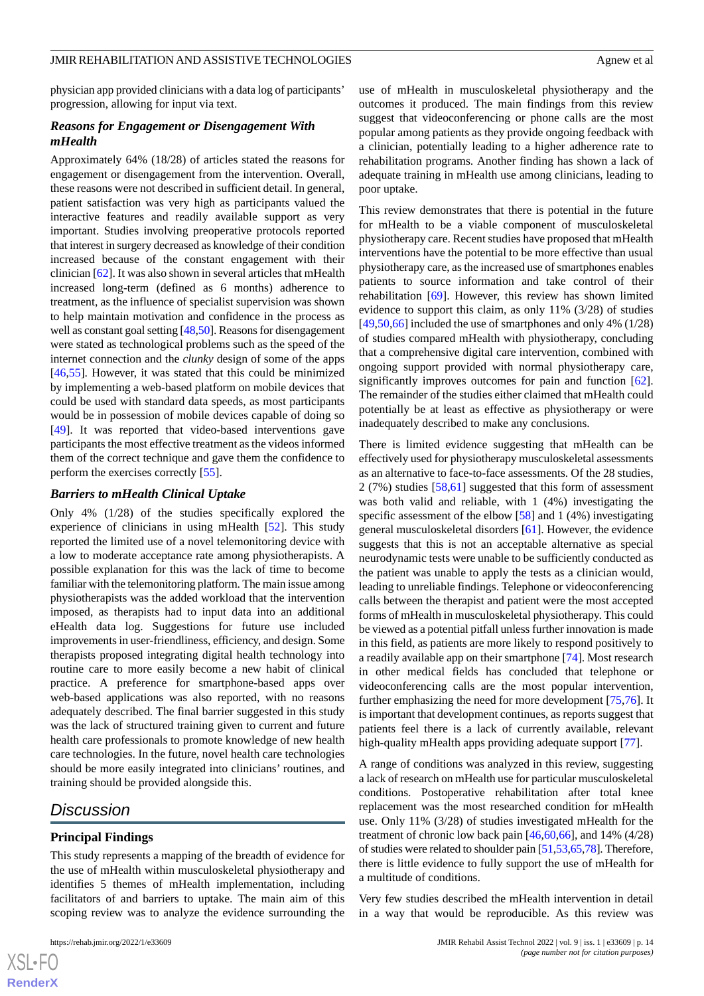# physician app provided clinicians with a data log of participants' progression, allowing for input via text.

# *Reasons for Engagement or Disengagement With mHealth*

Approximately 64% (18/28) of articles stated the reasons for engagement or disengagement from the intervention. Overall, these reasons were not described in sufficient detail. In general, patient satisfaction was very high as participants valued the interactive features and readily available support as very important. Studies involving preoperative protocols reported that interest in surgery decreased as knowledge of their condition increased because of the constant engagement with their clinician [[62\]](#page-17-18). It was also shown in several articles that mHealth increased long-term (defined as 6 months) adherence to treatment, as the influence of specialist supervision was shown to help maintain motivation and confidence in the process as well as constant goal setting [[48](#page-17-4),[50\]](#page-17-6). Reasons for disengagement were stated as technological problems such as the speed of the internet connection and the *clunky* design of some of the apps [[46](#page-17-2)[,55](#page-17-11)]. However, it was stated that this could be minimized by implementing a web-based platform on mobile devices that could be used with standard data speeds, as most participants would be in possession of mobile devices capable of doing so [[49\]](#page-17-5). It was reported that video-based interventions gave participants the most effective treatment as the videos informed them of the correct technique and gave them the confidence to perform the exercises correctly [\[55](#page-17-11)].

# *Barriers to mHealth Clinical Uptake*

Only 4% (1/28) of the studies specifically explored the experience of clinicians in using mHealth [\[52](#page-17-8)]. This study reported the limited use of a novel telemonitoring device with a low to moderate acceptance rate among physiotherapists. A possible explanation for this was the lack of time to become familiar with the telemonitoring platform. The main issue among physiotherapists was the added workload that the intervention imposed, as therapists had to input data into an additional eHealth data log. Suggestions for future use included improvements in user-friendliness, efficiency, and design. Some therapists proposed integrating digital health technology into routine care to more easily become a new habit of clinical practice. A preference for smartphone-based apps over web-based applications was also reported, with no reasons adequately described. The final barrier suggested in this study was the lack of structured training given to current and future health care professionals to promote knowledge of new health care technologies. In the future, novel health care technologies should be more easily integrated into clinicians' routines, and training should be provided alongside this.

# *Discussion*

# **Principal Findings**

This study represents a mapping of the breadth of evidence for the use of mHealth within musculoskeletal physiotherapy and identifies 5 themes of mHealth implementation, including facilitators of and barriers to uptake. The main aim of this scoping review was to analyze the evidence surrounding the

use of mHealth in musculoskeletal physiotherapy and the outcomes it produced. The main findings from this review suggest that videoconferencing or phone calls are the most popular among patients as they provide ongoing feedback with a clinician, potentially leading to a higher adherence rate to rehabilitation programs. Another finding has shown a lack of adequate training in mHealth use among clinicians, leading to

poor uptake.

This review demonstrates that there is potential in the future for mHealth to be a viable component of musculoskeletal physiotherapy care. Recent studies have proposed that mHealth interventions have the potential to be more effective than usual physiotherapy care, as the increased use of smartphones enables patients to source information and take control of their rehabilitation [[69\]](#page-18-4). However, this review has shown limited evidence to support this claim, as only 11% (3/28) of studies  $[49,50,66]$  $[49,50,66]$  $[49,50,66]$  $[49,50,66]$  included the use of smartphones and only 4% (1/28) of studies compared mHealth with physiotherapy, concluding that a comprehensive digital care intervention, combined with ongoing support provided with normal physiotherapy care, significantly improves outcomes for pain and function [[62\]](#page-17-18). The remainder of the studies either claimed that mHealth could potentially be at least as effective as physiotherapy or were inadequately described to make any conclusions.

There is limited evidence suggesting that mHealth can be effectively used for physiotherapy musculoskeletal assessments as an alternative to face-to-face assessments. Of the 28 studies, 2 (7%) studies [\[58](#page-17-14),[61\]](#page-17-17) suggested that this form of assessment was both valid and reliable, with 1 (4%) investigating the specific assessment of the elbow [\[58](#page-17-14)] and 1 (4%) investigating general musculoskeletal disorders [\[61](#page-17-17)]. However, the evidence suggests that this is not an acceptable alternative as special neurodynamic tests were unable to be sufficiently conducted as the patient was unable to apply the tests as a clinician would, leading to unreliable findings. Telephone or videoconferencing calls between the therapist and patient were the most accepted forms of mHealth in musculoskeletal physiotherapy. This could be viewed as a potential pitfall unless further innovation is made in this field, as patients are more likely to respond positively to a readily available app on their smartphone [[74\]](#page-18-9). Most research in other medical fields has concluded that telephone or videoconferencing calls are the most popular intervention, further emphasizing the need for more development [[75](#page-18-10)[,76](#page-18-11)]. It is important that development continues, as reports suggest that patients feel there is a lack of currently available, relevant high-quality mHealth apps providing adequate support [[77\]](#page-18-12).

A range of conditions was analyzed in this review, suggesting a lack of research on mHealth use for particular musculoskeletal conditions. Postoperative rehabilitation after total knee replacement was the most researched condition for mHealth use. Only 11% (3/28) of studies investigated mHealth for the treatment of chronic low back pain  $[46,60,66]$  $[46,60,66]$  $[46,60,66]$  $[46,60,66]$  $[46,60,66]$ , and 14%  $(4/28)$ of studies were related to shoulder pain [\[51](#page-17-7)[,53](#page-17-9)[,65](#page-18-0),[78](#page-18-13)]. Therefore, there is little evidence to fully support the use of mHealth for a multitude of conditions.

Very few studies described the mHealth intervention in detail in a way that would be reproducible. As this review was

 $XS$ -FO **[RenderX](http://www.renderx.com/)**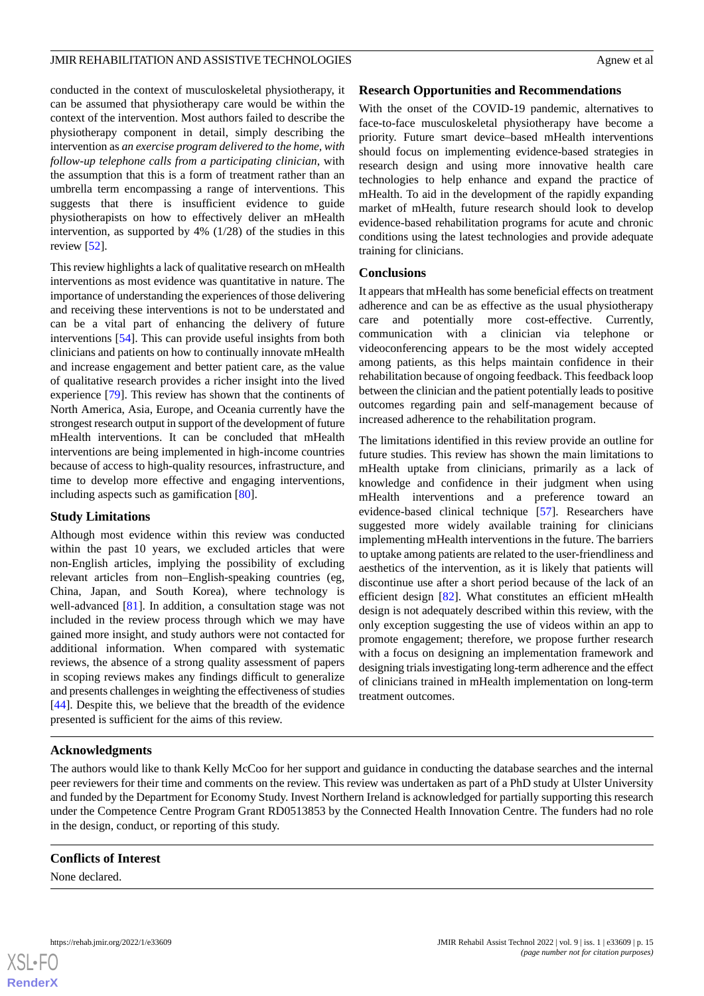conducted in the context of musculoskeletal physiotherapy, it can be assumed that physiotherapy care would be within the context of the intervention. Most authors failed to describe the physiotherapy component in detail, simply describing the intervention as *an exercise program delivered to the home, with follow-up telephone calls from a participating clinician*, with the assumption that this is a form of treatment rather than an umbrella term encompassing a range of interventions. This suggests that there is insufficient evidence to guide physiotherapists on how to effectively deliver an mHealth intervention, as supported by 4% (1/28) of the studies in this review [\[52](#page-17-8)].

This review highlights a lack of qualitative research on mHealth interventions as most evidence was quantitative in nature. The importance of understanding the experiences of those delivering and receiving these interventions is not to be understated and can be a vital part of enhancing the delivery of future interventions [[54\]](#page-17-10). This can provide useful insights from both clinicians and patients on how to continually innovate mHealth and increase engagement and better patient care, as the value of qualitative research provides a richer insight into the lived experience [[79\]](#page-18-14). This review has shown that the continents of North America, Asia, Europe, and Oceania currently have the strongest research output in support of the development of future mHealth interventions. It can be concluded that mHealth interventions are being implemented in high-income countries because of access to high-quality resources, infrastructure, and time to develop more effective and engaging interventions, including aspects such as gamification [[80\]](#page-18-15).

### **Study Limitations**

Although most evidence within this review was conducted within the past 10 years, we excluded articles that were non-English articles, implying the possibility of excluding relevant articles from non–English-speaking countries (eg, China, Japan, and South Korea), where technology is well-advanced [\[81](#page-18-16)]. In addition, a consultation stage was not included in the review process through which we may have gained more insight, and study authors were not contacted for additional information. When compared with systematic reviews, the absence of a strong quality assessment of papers in scoping reviews makes any findings difficult to generalize and presents challenges in weighting the effectiveness of studies [[44\]](#page-17-0). Despite this, we believe that the breadth of the evidence presented is sufficient for the aims of this review.

### **Research Opportunities and Recommendations**

With the onset of the COVID-19 pandemic, alternatives to face-to-face musculoskeletal physiotherapy have become a priority. Future smart device–based mHealth interventions should focus on implementing evidence-based strategies in research design and using more innovative health care technologies to help enhance and expand the practice of mHealth. To aid in the development of the rapidly expanding market of mHealth, future research should look to develop evidence-based rehabilitation programs for acute and chronic conditions using the latest technologies and provide adequate training for clinicians.

### **Conclusions**

It appears that mHealth has some beneficial effects on treatment adherence and can be as effective as the usual physiotherapy care and potentially more cost-effective. Currently, communication with a clinician via telephone or videoconferencing appears to be the most widely accepted among patients, as this helps maintain confidence in their rehabilitation because of ongoing feedback. This feedback loop between the clinician and the patient potentially leads to positive outcomes regarding pain and self-management because of increased adherence to the rehabilitation program.

The limitations identified in this review provide an outline for future studies. This review has shown the main limitations to mHealth uptake from clinicians, primarily as a lack of knowledge and confidence in their judgment when using mHealth interventions and a preference toward an evidence-based clinical technique [[57\]](#page-17-13). Researchers have suggested more widely available training for clinicians implementing mHealth interventions in the future. The barriers to uptake among patients are related to the user-friendliness and aesthetics of the intervention, as it is likely that patients will discontinue use after a short period because of the lack of an efficient design [\[82](#page-18-17)]. What constitutes an efficient mHealth design is not adequately described within this review, with the only exception suggesting the use of videos within an app to promote engagement; therefore, we propose further research with a focus on designing an implementation framework and designing trials investigating long-term adherence and the effect of clinicians trained in mHealth implementation on long-term treatment outcomes.

# **Acknowledgments**

The authors would like to thank Kelly McCoo for her support and guidance in conducting the database searches and the internal peer reviewers for their time and comments on the review. This review was undertaken as part of a PhD study at Ulster University and funded by the Department for Economy Study. Invest Northern Ireland is acknowledged for partially supporting this research under the Competence Centre Program Grant RD0513853 by the Connected Health Innovation Centre. The funders had no role in the design, conduct, or reporting of this study.

### **Conflicts of Interest**

None declared.

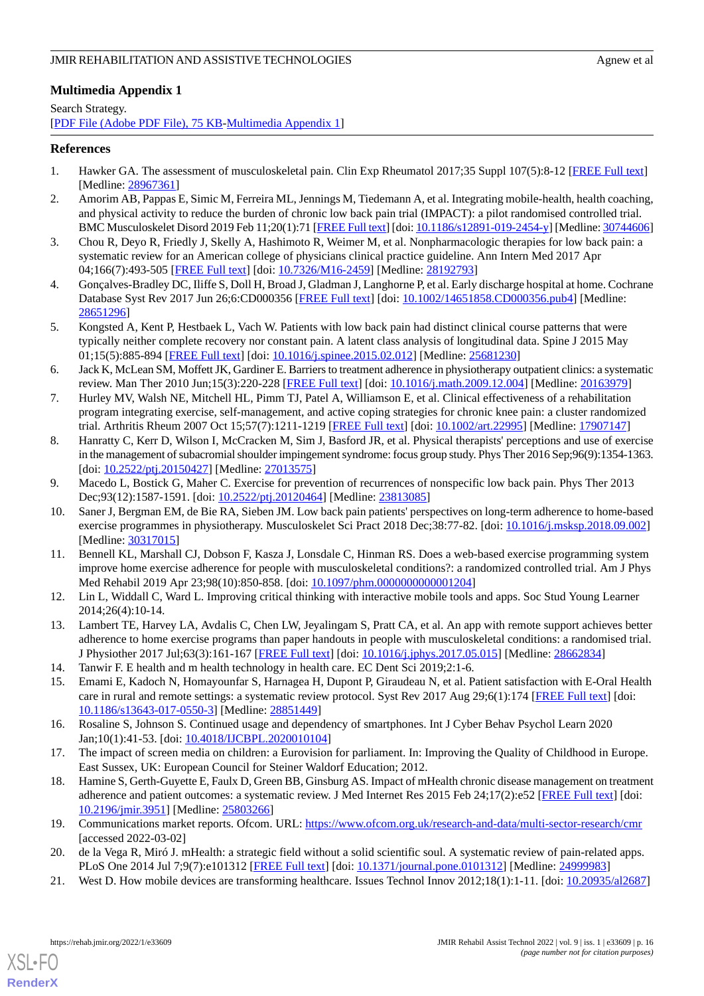# <span id="page-15-21"></span>**Multimedia Appendix 1**

Search Strategy. [[PDF File \(Adobe PDF File\), 75 KB](https://jmir.org/api/download?alt_name=rehab_v9i1e33609_app1.pdf&filename=9284e72e3af4f6967bbd6dd1411b4fce.pdf)-[Multimedia Appendix 1\]](https://jmir.org/api/download?alt_name=rehab_v9i1e33609_app1.pdf&filename=9284e72e3af4f6967bbd6dd1411b4fce.pdf)

# <span id="page-15-0"></span>**References**

- <span id="page-15-1"></span>1. Hawker GA. The assessment of musculoskeletal pain. Clin Exp Rheumatol 2017;35 Suppl 107(5):8-12 [\[FREE Full text\]](http://www.clinexprheumatol.org/pubmed/find-pii.asp?pii=28967361) [Medline: [28967361](http://www.ncbi.nlm.nih.gov/entrez/query.fcgi?cmd=Retrieve&db=PubMed&list_uids=28967361&dopt=Abstract)]
- <span id="page-15-2"></span>2. Amorim AB, Pappas E, Simic M, Ferreira ML, Jennings M, Tiedemann A, et al. Integrating mobile-health, health coaching, and physical activity to reduce the burden of chronic low back pain trial (IMPACT): a pilot randomised controlled trial. BMC Musculoskelet Disord 2019 Feb 11;20(1):71 [\[FREE Full text](https://bmcmusculoskeletdisord.biomedcentral.com/articles/10.1186/s12891-019-2454-y)] [doi: [10.1186/s12891-019-2454-y](http://dx.doi.org/10.1186/s12891-019-2454-y)] [Medline: [30744606\]](http://www.ncbi.nlm.nih.gov/entrez/query.fcgi?cmd=Retrieve&db=PubMed&list_uids=30744606&dopt=Abstract)
- <span id="page-15-3"></span>3. Chou R, Deyo R, Friedly J, Skelly A, Hashimoto R, Weimer M, et al. Nonpharmacologic therapies for low back pain: a systematic review for an American college of physicians clinical practice guideline. Ann Intern Med 2017 Apr 04;166(7):493-505 [[FREE Full text](https://www.acpjournals.org/doi/abs/10.7326/M16-2459?url_ver=Z39.88-2003&rfr_id=ori:rid:crossref.org&rfr_dat=cr_pub%3dpubmed)] [doi: [10.7326/M16-2459](http://dx.doi.org/10.7326/M16-2459)] [Medline: [28192793\]](http://www.ncbi.nlm.nih.gov/entrez/query.fcgi?cmd=Retrieve&db=PubMed&list_uids=28192793&dopt=Abstract)
- <span id="page-15-4"></span>4. Gonçalves-Bradley DC, Iliffe S, Doll H, Broad J, Gladman J, Langhorne P, et al. Early discharge hospital at home. Cochrane Database Syst Rev 2017 Jun 26;6:CD000356 [[FREE Full text](http://europepmc.org/abstract/MED/28651296)] [doi: [10.1002/14651858.CD000356.pub4\]](http://dx.doi.org/10.1002/14651858.CD000356.pub4) [Medline: [28651296](http://www.ncbi.nlm.nih.gov/entrez/query.fcgi?cmd=Retrieve&db=PubMed&list_uids=28651296&dopt=Abstract)]
- <span id="page-15-5"></span>5. Kongsted A, Kent P, Hestbaek L, Vach W. Patients with low back pain had distinct clinical course patterns that were typically neither complete recovery nor constant pain. A latent class analysis of longitudinal data. Spine J 2015 May 01;15(5):885-894 [[FREE Full text](https://linkinghub.elsevier.com/retrieve/pii/S1529-9430(15)00110-2)] [doi: [10.1016/j.spinee.2015.02.012](http://dx.doi.org/10.1016/j.spinee.2015.02.012)] [Medline: [25681230\]](http://www.ncbi.nlm.nih.gov/entrez/query.fcgi?cmd=Retrieve&db=PubMed&list_uids=25681230&dopt=Abstract)
- <span id="page-15-6"></span>6. Jack K, McLean SM, Moffett JK, Gardiner E. Barriers to treatment adherence in physiotherapy outpatient clinics: a systematic review. Man Ther 2010 Jun;15(3):220-228 [[FREE Full text\]](https://linkinghub.elsevier.com/retrieve/pii/S1356-689X(09)00209-4) [doi: [10.1016/j.math.2009.12.004](http://dx.doi.org/10.1016/j.math.2009.12.004)] [Medline: [20163979](http://www.ncbi.nlm.nih.gov/entrez/query.fcgi?cmd=Retrieve&db=PubMed&list_uids=20163979&dopt=Abstract)]
- <span id="page-15-7"></span>7. Hurley MV, Walsh NE, Mitchell HL, Pimm TJ, Patel A, Williamson E, et al. Clinical effectiveness of a rehabilitation program integrating exercise, self-management, and active coping strategies for chronic knee pain: a cluster randomized trial. Arthritis Rheum 2007 Oct 15;57(7):1211-1219 [\[FREE Full text\]](https://doi.org/10.1002/art.22995) [doi: [10.1002/art.22995](http://dx.doi.org/10.1002/art.22995)] [Medline: [17907147\]](http://www.ncbi.nlm.nih.gov/entrez/query.fcgi?cmd=Retrieve&db=PubMed&list_uids=17907147&dopt=Abstract)
- <span id="page-15-8"></span>8. Hanratty C, Kerr D, Wilson I, McCracken M, Sim J, Basford JR, et al. Physical therapists' perceptions and use of exercise in the management of subacromial shoulder impingement syndrome: focus group study. Phys Ther 2016 Sep;96(9):1354-1363. [doi: [10.2522/ptj.20150427](http://dx.doi.org/10.2522/ptj.20150427)] [Medline: [27013575](http://www.ncbi.nlm.nih.gov/entrez/query.fcgi?cmd=Retrieve&db=PubMed&list_uids=27013575&dopt=Abstract)]
- <span id="page-15-9"></span>9. Macedo L, Bostick G, Maher C. Exercise for prevention of recurrences of nonspecific low back pain. Phys Ther 2013 Dec;93(12):1587-1591. [doi: [10.2522/ptj.20120464\]](http://dx.doi.org/10.2522/ptj.20120464) [Medline: [23813085\]](http://www.ncbi.nlm.nih.gov/entrez/query.fcgi?cmd=Retrieve&db=PubMed&list_uids=23813085&dopt=Abstract)
- <span id="page-15-10"></span>10. Saner J, Bergman EM, de Bie RA, Sieben JM. Low back pain patients' perspectives on long-term adherence to home-based exercise programmes in physiotherapy. Musculoskelet Sci Pract 2018 Dec;38:77-82. [doi: [10.1016/j.msksp.2018.09.002\]](http://dx.doi.org/10.1016/j.msksp.2018.09.002) [Medline: [30317015](http://www.ncbi.nlm.nih.gov/entrez/query.fcgi?cmd=Retrieve&db=PubMed&list_uids=30317015&dopt=Abstract)]
- <span id="page-15-12"></span><span id="page-15-11"></span>11. Bennell KL, Marshall CJ, Dobson F, Kasza J, Lonsdale C, Hinman RS. Does a web-based exercise programming system improve home exercise adherence for people with musculoskeletal conditions?: a randomized controlled trial. Am J Phys Med Rehabil 2019 Apr 23;98(10):850-858. [doi: [10.1097/phm.0000000000001204](http://dx.doi.org/10.1097/phm.0000000000001204)]
- <span id="page-15-13"></span>12. Lin L, Widdall C, Ward L. Improving critical thinking with interactive mobile tools and apps. Soc Stud Young Learner 2014;26(4):10-14.
- <span id="page-15-14"></span>13. Lambert TE, Harvey LA, Avdalis C, Chen LW, Jeyalingam S, Pratt CA, et al. An app with remote support achieves better adherence to home exercise programs than paper handouts in people with musculoskeletal conditions: a randomised trial. J Physiother 2017 Jul;63(3):161-167 [[FREE Full text](https://linkinghub.elsevier.com/retrieve/pii/S1836-9553(17)30067-X)] [doi: [10.1016/j.jphys.2017.05.015](http://dx.doi.org/10.1016/j.jphys.2017.05.015)] [Medline: [28662834\]](http://www.ncbi.nlm.nih.gov/entrez/query.fcgi?cmd=Retrieve&db=PubMed&list_uids=28662834&dopt=Abstract)
- <span id="page-15-15"></span>14. Tanwir F. E health and m health technology in health care. EC Dent Sci 2019;2:1-6.
- <span id="page-15-16"></span>15. Emami E, Kadoch N, Homayounfar S, Harnagea H, Dupont P, Giraudeau N, et al. Patient satisfaction with E-Oral Health care in rural and remote settings: a systematic review protocol. Syst Rev 2017 Aug 29;6(1):174 [[FREE Full text](https://systematicreviewsjournal.biomedcentral.com/articles/10.1186/s13643-017-0550-3)] [doi: [10.1186/s13643-017-0550-3\]](http://dx.doi.org/10.1186/s13643-017-0550-3) [Medline: [28851449](http://www.ncbi.nlm.nih.gov/entrez/query.fcgi?cmd=Retrieve&db=PubMed&list_uids=28851449&dopt=Abstract)]
- <span id="page-15-17"></span>16. Rosaline S, Johnson S. Continued usage and dependency of smartphones. Int J Cyber Behav Psychol Learn 2020 Jan;10(1):41-53. [doi: [10.4018/IJCBPL.2020010104\]](http://dx.doi.org/10.4018/IJCBPL.2020010104)
- <span id="page-15-18"></span>17. The impact of screen media on children: a Eurovision for parliament. In: Improving the Quality of Childhood in Europe. East Sussex, UK: European Council for Steiner Waldorf Education; 2012.
- <span id="page-15-20"></span><span id="page-15-19"></span>18. Hamine S, Gerth-Guyette E, Faulx D, Green BB, Ginsburg AS. Impact of mHealth chronic disease management on treatment adherence and patient outcomes: a systematic review. J Med Internet Res 2015 Feb 24;17(2):e52 [\[FREE Full text\]](https://www.jmir.org/2015/2/e52/) [doi: [10.2196/jmir.3951](http://dx.doi.org/10.2196/jmir.3951)] [Medline: [25803266](http://www.ncbi.nlm.nih.gov/entrez/query.fcgi?cmd=Retrieve&db=PubMed&list_uids=25803266&dopt=Abstract)]
- 19. Communications market reports. Ofcom. URL:<https://www.ofcom.org.uk/research-and-data/multi-sector-research/cmr> [accessed 2022-03-02]
- 20. de la Vega R, Miró J. mHealth: a strategic field without a solid scientific soul. A systematic review of pain-related apps. PLoS One 2014 Jul 7:9(7):e101312 [[FREE Full text\]](https://dx.plos.org/10.1371/journal.pone.0101312) [doi: [10.1371/journal.pone.0101312](http://dx.doi.org/10.1371/journal.pone.0101312)] [Medline: [24999983](http://www.ncbi.nlm.nih.gov/entrez/query.fcgi?cmd=Retrieve&db=PubMed&list_uids=24999983&dopt=Abstract)]
- 21. West D. How mobile devices are transforming healthcare. Issues Technol Innov 2012;18(1):1-11. [doi: [10.20935/al2687\]](http://dx.doi.org/10.20935/al2687)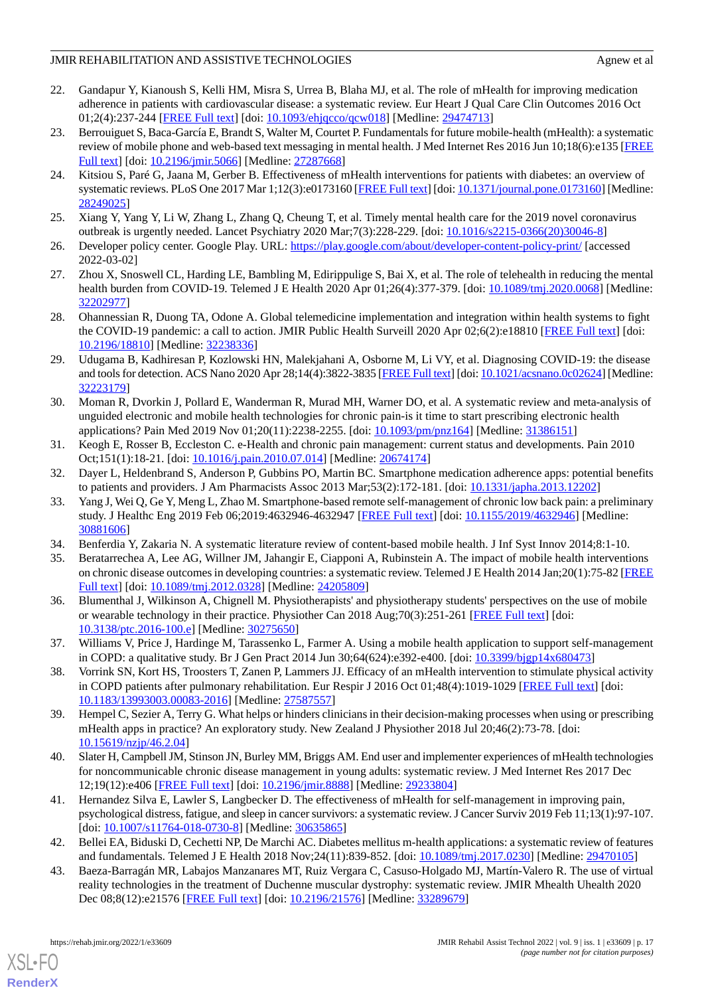- <span id="page-16-0"></span>22. Gandapur Y, Kianoush S, Kelli HM, Misra S, Urrea B, Blaha MJ, et al. The role of mHealth for improving medication adherence in patients with cardiovascular disease: a systematic review. Eur Heart J Qual Care Clin Outcomes 2016 Oct 01;2(4):237-244 [[FREE Full text](http://europepmc.org/abstract/MED/29474713)] [doi: [10.1093/ehjqcco/qcw018](http://dx.doi.org/10.1093/ehjqcco/qcw018)] [Medline: [29474713](http://www.ncbi.nlm.nih.gov/entrez/query.fcgi?cmd=Retrieve&db=PubMed&list_uids=29474713&dopt=Abstract)]
- <span id="page-16-1"></span>23. Berrouiguet S, Baca-García E, Brandt S, Walter M, Courtet P. Fundamentals for future mobile-health (mHealth): a systematic review of mobile phone and web-based text messaging in mental health. J Med Internet Res 2016 Jun 10;18(6):e135 [\[FREE](https://www.jmir.org/2016/6/e135/) [Full text\]](https://www.jmir.org/2016/6/e135/) [doi: [10.2196/jmir.5066](http://dx.doi.org/10.2196/jmir.5066)] [Medline: [27287668\]](http://www.ncbi.nlm.nih.gov/entrez/query.fcgi?cmd=Retrieve&db=PubMed&list_uids=27287668&dopt=Abstract)
- 24. Kitsiou S, Paré G, Jaana M, Gerber B. Effectiveness of mHealth interventions for patients with diabetes: an overview of systematic reviews. PLoS One 2017 Mar 1;12(3):e0173160 [\[FREE Full text\]](https://dx.plos.org/10.1371/journal.pone.0173160) [doi: [10.1371/journal.pone.0173160\]](http://dx.doi.org/10.1371/journal.pone.0173160) [Medline: [28249025](http://www.ncbi.nlm.nih.gov/entrez/query.fcgi?cmd=Retrieve&db=PubMed&list_uids=28249025&dopt=Abstract)]
- <span id="page-16-3"></span><span id="page-16-2"></span>25. Xiang Y, Yang Y, Li W, Zhang L, Zhang Q, Cheung T, et al. Timely mental health care for the 2019 novel coronavirus outbreak is urgently needed. Lancet Psychiatry 2020 Mar;7(3):228-229. [doi: [10.1016/s2215-0366\(20\)30046-8](http://dx.doi.org/10.1016/s2215-0366(20)30046-8)]
- <span id="page-16-4"></span>26. Developer policy center. Google Play. URL: <https://play.google.com/about/developer-content-policy-print/> [accessed 2022-03-02]
- <span id="page-16-5"></span>27. Zhou X, Snoswell CL, Harding LE, Bambling M, Edirippulige S, Bai X, et al. The role of telehealth in reducing the mental health burden from COVID-19. Telemed J E Health 2020 Apr 01;26(4):377-379. [doi: [10.1089/tmj.2020.0068](http://dx.doi.org/10.1089/tmj.2020.0068)] [Medline: [32202977](http://www.ncbi.nlm.nih.gov/entrez/query.fcgi?cmd=Retrieve&db=PubMed&list_uids=32202977&dopt=Abstract)]
- <span id="page-16-6"></span>28. Ohannessian R, Duong TA, Odone A. Global telemedicine implementation and integration within health systems to fight the COVID-19 pandemic: a call to action. JMIR Public Health Surveill 2020 Apr 02;6(2):e18810 [\[FREE Full text\]](https://publichealth.jmir.org/2020/2/e18810/) [doi: [10.2196/18810\]](http://dx.doi.org/10.2196/18810) [Medline: [32238336\]](http://www.ncbi.nlm.nih.gov/entrez/query.fcgi?cmd=Retrieve&db=PubMed&list_uids=32238336&dopt=Abstract)
- <span id="page-16-7"></span>29. Udugama B, Kadhiresan P, Kozlowski HN, Malekjahani A, Osborne M, Li VY, et al. Diagnosing COVID-19: the disease and tools for detection. ACS Nano 2020 Apr 28;14(4):3822-3835 [\[FREE Full text](http://europepmc.org/abstract/MED/32223179)] [doi: [10.1021/acsnano.0c02624\]](http://dx.doi.org/10.1021/acsnano.0c02624) [Medline: [32223179](http://www.ncbi.nlm.nih.gov/entrez/query.fcgi?cmd=Retrieve&db=PubMed&list_uids=32223179&dopt=Abstract)]
- <span id="page-16-8"></span>30. Moman R, Dvorkin J, Pollard E, Wanderman R, Murad MH, Warner DO, et al. A systematic review and meta-analysis of unguided electronic and mobile health technologies for chronic pain-is it time to start prescribing electronic health applications? Pain Med 2019 Nov 01;20(11):2238-2255. [doi: [10.1093/pm/pnz164](http://dx.doi.org/10.1093/pm/pnz164)] [Medline: [31386151\]](http://www.ncbi.nlm.nih.gov/entrez/query.fcgi?cmd=Retrieve&db=PubMed&list_uids=31386151&dopt=Abstract)
- <span id="page-16-10"></span><span id="page-16-9"></span>31. Keogh E, Rosser B, Eccleston C. e-Health and chronic pain management: current status and developments. Pain 2010 Oct;151(1):18-21. [doi: [10.1016/j.pain.2010.07.014](http://dx.doi.org/10.1016/j.pain.2010.07.014)] [Medline: [20674174\]](http://www.ncbi.nlm.nih.gov/entrez/query.fcgi?cmd=Retrieve&db=PubMed&list_uids=20674174&dopt=Abstract)
- 32. Dayer L, Heldenbrand S, Anderson P, Gubbins PO, Martin BC. Smartphone medication adherence apps: potential benefits to patients and providers. J Am Pharmacists Assoc 2013 Mar;53(2):172-181. [doi: [10.1331/japha.2013.12202\]](http://dx.doi.org/10.1331/japha.2013.12202)
- <span id="page-16-12"></span><span id="page-16-11"></span>33. Yang J, Wei Q, Ge Y, Meng L, Zhao M. Smartphone-based remote self-management of chronic low back pain: a preliminary study. J Healthc Eng 2019 Feb 06;2019:4632946-4632947 [[FREE Full text](https://doi.org/10.1155/2019/4632946)] [doi: [10.1155/2019/4632946\]](http://dx.doi.org/10.1155/2019/4632946) [Medline: [30881606](http://www.ncbi.nlm.nih.gov/entrez/query.fcgi?cmd=Retrieve&db=PubMed&list_uids=30881606&dopt=Abstract)]
- <span id="page-16-13"></span>34. Benferdia Y, Zakaria N. A systematic literature review of content-based mobile health. J Inf Syst Innov 2014;8:1-10.
- 35. Beratarrechea A, Lee AG, Willner JM, Jahangir E, Ciapponi A, Rubinstein A. The impact of mobile health interventions on chronic disease outcomes in developing countries: a systematic review. Telemed J E Health 2014 Jan;20(1):75-82 [\[FREE](http://europepmc.org/abstract/MED/24205809) [Full text\]](http://europepmc.org/abstract/MED/24205809) [doi: [10.1089/tmj.2012.0328\]](http://dx.doi.org/10.1089/tmj.2012.0328) [Medline: [24205809\]](http://www.ncbi.nlm.nih.gov/entrez/query.fcgi?cmd=Retrieve&db=PubMed&list_uids=24205809&dopt=Abstract)
- <span id="page-16-15"></span><span id="page-16-14"></span>36. Blumenthal J, Wilkinson A, Chignell M. Physiotherapists' and physiotherapy students' perspectives on the use of mobile or wearable technology in their practice. Physiother Can 2018 Aug;70(3):251-261 [[FREE Full text](http://europepmc.org/abstract/MED/30275650)] [doi: [10.3138/ptc.2016-100.e\]](http://dx.doi.org/10.3138/ptc.2016-100.e) [Medline: [30275650\]](http://www.ncbi.nlm.nih.gov/entrez/query.fcgi?cmd=Retrieve&db=PubMed&list_uids=30275650&dopt=Abstract)
- <span id="page-16-16"></span>37. Williams V, Price J, Hardinge M, Tarassenko L, Farmer A. Using a mobile health application to support self-management in COPD: a qualitative study. Br J Gen Pract 2014 Jun 30;64(624):e392-e400. [doi: [10.3399/bjgp14x680473\]](http://dx.doi.org/10.3399/bjgp14x680473)
- <span id="page-16-17"></span>38. Vorrink SN, Kort HS, Troosters T, Zanen P, Lammers JJ. Efficacy of an mHealth intervention to stimulate physical activity in COPD patients after pulmonary rehabilitation. Eur Respir J 2016 Oct 01;48(4):1019-1029 [\[FREE Full text\]](http://erj.ersjournals.com/cgi/pmidlookup?view=long&pmid=27587557) [doi: [10.1183/13993003.00083-2016\]](http://dx.doi.org/10.1183/13993003.00083-2016) [Medline: [27587557](http://www.ncbi.nlm.nih.gov/entrez/query.fcgi?cmd=Retrieve&db=PubMed&list_uids=27587557&dopt=Abstract)]
- <span id="page-16-18"></span>39. Hempel C, Sezier A, Terry G. What helps or hinders clinicians in their decision-making processes when using or prescribing mHealth apps in practice? An exploratory study. New Zealand J Physiother 2018 Jul 20;46(2):73-78. [doi: [10.15619/nzjp/46.2.04\]](http://dx.doi.org/10.15619/nzjp/46.2.04)
- <span id="page-16-19"></span>40. Slater H, Campbell JM, Stinson JN, Burley MM, Briggs AM. End user and implementer experiences of mHealth technologies for noncommunicable chronic disease management in young adults: systematic review. J Med Internet Res 2017 Dec 12;19(12):e406 [\[FREE Full text](https://www.jmir.org/2017/12/e406/)] [doi: [10.2196/jmir.8888\]](http://dx.doi.org/10.2196/jmir.8888) [Medline: [29233804](http://www.ncbi.nlm.nih.gov/entrez/query.fcgi?cmd=Retrieve&db=PubMed&list_uids=29233804&dopt=Abstract)]
- <span id="page-16-20"></span>41. Hernandez Silva E, Lawler S, Langbecker D. The effectiveness of mHealth for self-management in improving pain, psychological distress, fatigue, and sleep in cancer survivors: a systematic review. J Cancer Surviv 2019 Feb 11;13(1):97-107. [doi: [10.1007/s11764-018-0730-8](http://dx.doi.org/10.1007/s11764-018-0730-8)] [Medline: [30635865\]](http://www.ncbi.nlm.nih.gov/entrez/query.fcgi?cmd=Retrieve&db=PubMed&list_uids=30635865&dopt=Abstract)
- 42. Bellei EA, Biduski D, Cechetti NP, De Marchi AC. Diabetes mellitus m-health applications: a systematic review of features and fundamentals. Telemed J E Health 2018 Nov;24(11):839-852. [doi: [10.1089/tmj.2017.0230](http://dx.doi.org/10.1089/tmj.2017.0230)] [Medline: [29470105](http://www.ncbi.nlm.nih.gov/entrez/query.fcgi?cmd=Retrieve&db=PubMed&list_uids=29470105&dopt=Abstract)]
- 43. Baeza-Barragán MR, Labajos Manzanares MT, Ruiz Vergara C, Casuso-Holgado MJ, Martín-Valero R. The use of virtual reality technologies in the treatment of Duchenne muscular dystrophy: systematic review. JMIR Mhealth Uhealth 2020 Dec 08;8(12):e21576 [[FREE Full text](https://mhealth.jmir.org/2020/12/e21576/)] [doi: [10.2196/21576\]](http://dx.doi.org/10.2196/21576) [Medline: [33289679](http://www.ncbi.nlm.nih.gov/entrez/query.fcgi?cmd=Retrieve&db=PubMed&list_uids=33289679&dopt=Abstract)]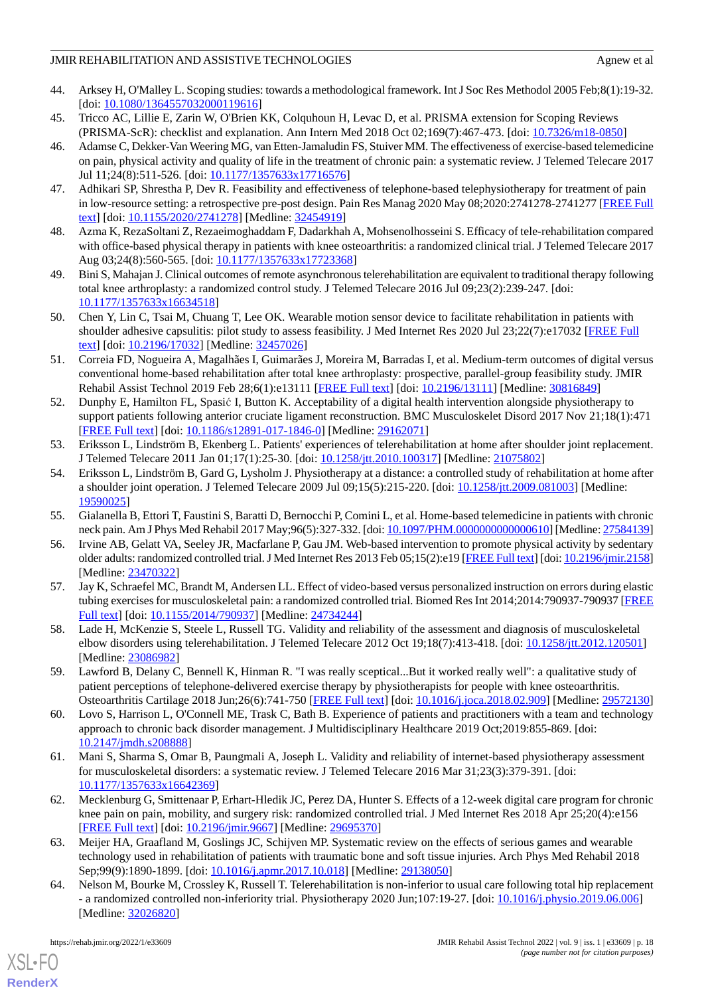- <span id="page-17-0"></span>44. Arksey H, O'Malley L. Scoping studies: towards a methodological framework. Int J Soc Res Methodol 2005 Feb;8(1):19-32. [doi: [10.1080/1364557032000119616](http://dx.doi.org/10.1080/1364557032000119616)]
- <span id="page-17-2"></span><span id="page-17-1"></span>45. Tricco AC, Lillie E, Zarin W, O'Brien KK, Colquhoun H, Levac D, et al. PRISMA extension for Scoping Reviews (PRISMA-ScR): checklist and explanation. Ann Intern Med 2018 Oct 02;169(7):467-473. [doi: [10.7326/m18-0850\]](http://dx.doi.org/10.7326/m18-0850)
- 46. Adamse C, Dekker-Van Weering MG, van Etten-Jamaludin FS, Stuiver MM. The effectiveness of exercise-based telemedicine on pain, physical activity and quality of life in the treatment of chronic pain: a systematic review. J Telemed Telecare 2017 Jul 11;24(8):511-526. [doi: [10.1177/1357633x17716576\]](http://dx.doi.org/10.1177/1357633x17716576)
- <span id="page-17-4"></span><span id="page-17-3"></span>47. Adhikari SP, Shrestha P, Dev R. Feasibility and effectiveness of telephone-based telephysiotherapy for treatment of pain in low-resource setting: a retrospective pre-post design. Pain Res Manag 2020 May 08;2020:2741278-2741277 [\[FREE Full](https://doi.org/10.1155/2020/2741278) [text](https://doi.org/10.1155/2020/2741278)] [doi: [10.1155/2020/2741278\]](http://dx.doi.org/10.1155/2020/2741278) [Medline: [32454919](http://www.ncbi.nlm.nih.gov/entrez/query.fcgi?cmd=Retrieve&db=PubMed&list_uids=32454919&dopt=Abstract)]
- <span id="page-17-5"></span>48. Azma K, RezaSoltani Z, Rezaeimoghaddam F, Dadarkhah A, Mohsenolhosseini S. Efficacy of tele-rehabilitation compared with office-based physical therapy in patients with knee osteoarthritis: a randomized clinical trial. J Telemed Telecare 2017 Aug 03;24(8):560-565. [doi: [10.1177/1357633x17723368](http://dx.doi.org/10.1177/1357633x17723368)]
- <span id="page-17-6"></span>49. Bini S, Mahajan J. Clinical outcomes of remote asynchronous telerehabilitation are equivalent to traditional therapy following total knee arthroplasty: a randomized control study. J Telemed Telecare 2016 Jul 09;23(2):239-247. [doi: [10.1177/1357633x16634518\]](http://dx.doi.org/10.1177/1357633x16634518)
- <span id="page-17-7"></span>50. Chen Y, Lin C, Tsai M, Chuang T, Lee OK. Wearable motion sensor device to facilitate rehabilitation in patients with shoulder adhesive capsulitis: pilot study to assess feasibility. J Med Internet Res 2020 Jul 23;22(7):e17032 [[FREE Full](https://www.jmir.org/2020/7/e17032/) [text](https://www.jmir.org/2020/7/e17032/)] [doi: [10.2196/17032\]](http://dx.doi.org/10.2196/17032) [Medline: [32457026\]](http://www.ncbi.nlm.nih.gov/entrez/query.fcgi?cmd=Retrieve&db=PubMed&list_uids=32457026&dopt=Abstract)
- <span id="page-17-8"></span>51. Correia FD, Nogueira A, Magalhães I, Guimarães J, Moreira M, Barradas I, et al. Medium-term outcomes of digital versus conventional home-based rehabilitation after total knee arthroplasty: prospective, parallel-group feasibility study. JMIR Rehabil Assist Technol 2019 Feb 28;6(1):e13111 [\[FREE Full text\]](https://rehab.jmir.org/2019/1/e13111/) [doi: [10.2196/13111](http://dx.doi.org/10.2196/13111)] [Medline: [30816849\]](http://www.ncbi.nlm.nih.gov/entrez/query.fcgi?cmd=Retrieve&db=PubMed&list_uids=30816849&dopt=Abstract)
- <span id="page-17-9"></span>52. Dunphy E, Hamilton FL, Spasić I, Button K. Acceptability of a digital health intervention alongside physiotherapy to support patients following anterior cruciate ligament reconstruction. BMC Musculoskelet Disord 2017 Nov 21;18(1):471 [[FREE Full text](https://bmcmusculoskeletdisord.biomedcentral.com/articles/10.1186/s12891-017-1846-0)] [doi: [10.1186/s12891-017-1846-0\]](http://dx.doi.org/10.1186/s12891-017-1846-0) [Medline: [29162071](http://www.ncbi.nlm.nih.gov/entrez/query.fcgi?cmd=Retrieve&db=PubMed&list_uids=29162071&dopt=Abstract)]
- <span id="page-17-10"></span>53. Eriksson L, Lindström B, Ekenberg L. Patients' experiences of telerehabilitation at home after shoulder joint replacement. J Telemed Telecare 2011 Jan 01;17(1):25-30. [doi: [10.1258/jtt.2010.100317\]](http://dx.doi.org/10.1258/jtt.2010.100317) [Medline: [21075802\]](http://www.ncbi.nlm.nih.gov/entrez/query.fcgi?cmd=Retrieve&db=PubMed&list_uids=21075802&dopt=Abstract)
- <span id="page-17-12"></span><span id="page-17-11"></span>54. Eriksson L, Lindström B, Gard G, Lysholm J. Physiotherapy at a distance: a controlled study of rehabilitation at home after a shoulder joint operation. J Telemed Telecare 2009 Jul 09;15(5):215-220. [doi: [10.1258/jtt.2009.081003\]](http://dx.doi.org/10.1258/jtt.2009.081003) [Medline: [19590025](http://www.ncbi.nlm.nih.gov/entrez/query.fcgi?cmd=Retrieve&db=PubMed&list_uids=19590025&dopt=Abstract)]
- <span id="page-17-13"></span>55. Gialanella B, Ettori T, Faustini S, Baratti D, Bernocchi P, Comini L, et al. Home-based telemedicine in patients with chronic neck pain. Am J Phys Med Rehabil 2017 May;96(5):327-332. [doi: [10.1097/PHM.0000000000000610](http://dx.doi.org/10.1097/PHM.0000000000000610)] [Medline: [27584139\]](http://www.ncbi.nlm.nih.gov/entrez/query.fcgi?cmd=Retrieve&db=PubMed&list_uids=27584139&dopt=Abstract)
- 56. Irvine AB, Gelatt VA, Seeley JR, Macfarlane P, Gau JM. Web-based intervention to promote physical activity by sedentary older adults: randomized controlled trial. J Med Internet Res 2013 Feb 05;15(2):e19 [[FREE Full text\]](https://www.jmir.org/2013/2/e19/) [doi: [10.2196/jmir.2158\]](http://dx.doi.org/10.2196/jmir.2158) [Medline: [23470322](http://www.ncbi.nlm.nih.gov/entrez/query.fcgi?cmd=Retrieve&db=PubMed&list_uids=23470322&dopt=Abstract)]
- <span id="page-17-15"></span><span id="page-17-14"></span>57. Jay K, Schraefel MC, Brandt M, Andersen LL. Effect of video-based versus personalized instruction on errors during elastic tubing exercises for musculoskeletal pain: a randomized controlled trial. Biomed Res Int 2014;2014:790937-790937 [\[FREE](https://doi.org/10.1155/2014/790937) [Full text\]](https://doi.org/10.1155/2014/790937) [doi: [10.1155/2014/790937](http://dx.doi.org/10.1155/2014/790937)] [Medline: [24734244](http://www.ncbi.nlm.nih.gov/entrez/query.fcgi?cmd=Retrieve&db=PubMed&list_uids=24734244&dopt=Abstract)]
- <span id="page-17-16"></span>58. Lade H, McKenzie S, Steele L, Russell TG. Validity and reliability of the assessment and diagnosis of musculoskeletal elbow disorders using telerehabilitation. J Telemed Telecare 2012 Oct 19;18(7):413-418. [doi: [10.1258/jtt.2012.120501\]](http://dx.doi.org/10.1258/jtt.2012.120501) [Medline: [23086982](http://www.ncbi.nlm.nih.gov/entrez/query.fcgi?cmd=Retrieve&db=PubMed&list_uids=23086982&dopt=Abstract)]
- <span id="page-17-17"></span>59. Lawford B, Delany C, Bennell K, Hinman R. "I was really sceptical...But it worked really well": a qualitative study of patient perceptions of telephone-delivered exercise therapy by physiotherapists for people with knee osteoarthritis. Osteoarthritis Cartilage 2018 Jun;26(6):741-750 [[FREE Full text](https://linkinghub.elsevier.com/retrieve/pii/S1063-4584(18)31106-3)] [doi: [10.1016/j.joca.2018.02.909\]](http://dx.doi.org/10.1016/j.joca.2018.02.909) [Medline: [29572130](http://www.ncbi.nlm.nih.gov/entrez/query.fcgi?cmd=Retrieve&db=PubMed&list_uids=29572130&dopt=Abstract)]
- <span id="page-17-18"></span>60. Lovo S, Harrison L, O'Connell ME, Trask C, Bath B. Experience of patients and practitioners with a team and technology approach to chronic back disorder management. J Multidisciplinary Healthcare 2019 Oct;2019:855-869. [doi: [10.2147/jmdh.s208888\]](http://dx.doi.org/10.2147/jmdh.s208888)
- <span id="page-17-19"></span>61. Mani S, Sharma S, Omar B, Paungmali A, Joseph L. Validity and reliability of internet-based physiotherapy assessment for musculoskeletal disorders: a systematic review. J Telemed Telecare 2016 Mar 31;23(3):379-391. [doi: [10.1177/1357633x16642369\]](http://dx.doi.org/10.1177/1357633x16642369)
- <span id="page-17-20"></span>62. Mecklenburg G, Smittenaar P, Erhart-Hledik JC, Perez DA, Hunter S. Effects of a 12-week digital care program for chronic knee pain on pain, mobility, and surgery risk: randomized controlled trial. J Med Internet Res 2018 Apr 25;20(4):e156 [[FREE Full text](https://www.jmir.org/2018/4/e156/)] [doi: [10.2196/jmir.9667](http://dx.doi.org/10.2196/jmir.9667)] [Medline: [29695370](http://www.ncbi.nlm.nih.gov/entrez/query.fcgi?cmd=Retrieve&db=PubMed&list_uids=29695370&dopt=Abstract)]
- 63. Meijer HA, Graafland M, Goslings JC, Schijven MP. Systematic review on the effects of serious games and wearable technology used in rehabilitation of patients with traumatic bone and soft tissue injuries. Arch Phys Med Rehabil 2018 Sep;99(9):1890-1899. [doi: [10.1016/j.apmr.2017.10.018\]](http://dx.doi.org/10.1016/j.apmr.2017.10.018) [Medline: [29138050](http://www.ncbi.nlm.nih.gov/entrez/query.fcgi?cmd=Retrieve&db=PubMed&list_uids=29138050&dopt=Abstract)]
- 64. Nelson M, Bourke M, Crossley K, Russell T. Telerehabilitation is non-inferior to usual care following total hip replacement - a randomized controlled non-inferiority trial. Physiotherapy 2020 Jun;107:19-27. [doi: [10.1016/j.physio.2019.06.006](http://dx.doi.org/10.1016/j.physio.2019.06.006)] [Medline: [32026820](http://www.ncbi.nlm.nih.gov/entrez/query.fcgi?cmd=Retrieve&db=PubMed&list_uids=32026820&dopt=Abstract)]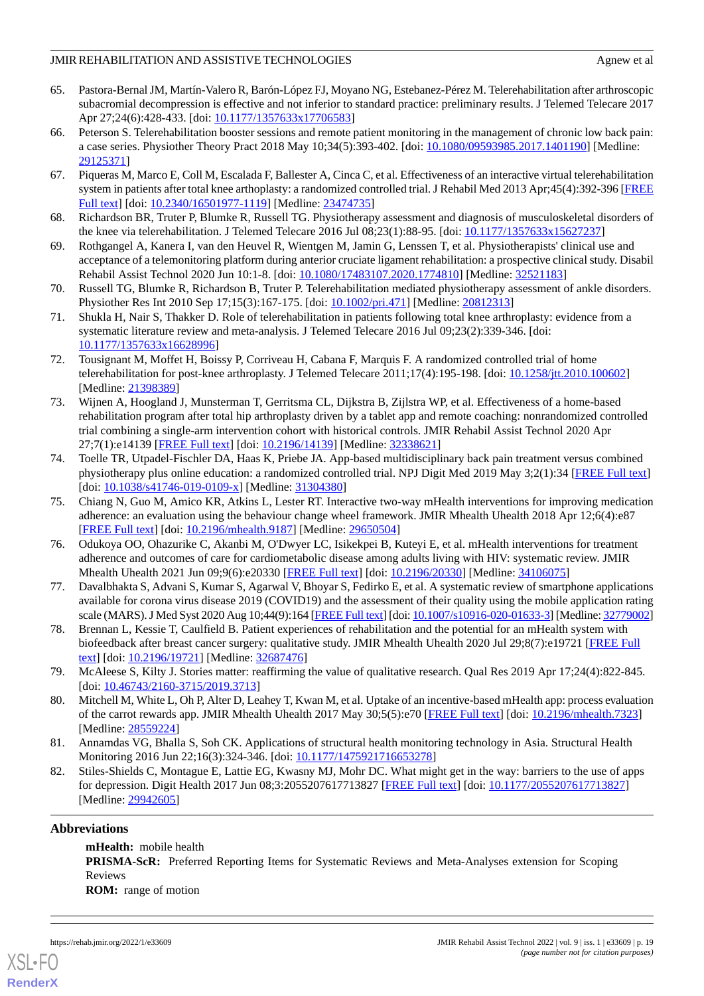- <span id="page-18-0"></span>65. Pastora-Bernal JM, Martín-Valero R, Barón-López FJ, Moyano NG, Estebanez-Pérez M. Telerehabilitation after arthroscopic subacromial decompression is effective and not inferior to standard practice: preliminary results. J Telemed Telecare 2017 Apr 27;24(6):428-433. [doi: [10.1177/1357633x17706583\]](http://dx.doi.org/10.1177/1357633x17706583)
- <span id="page-18-1"></span>66. Peterson S. Telerehabilitation booster sessions and remote patient monitoring in the management of chronic low back pain: a case series. Physiother Theory Pract 2018 May 10;34(5):393-402. [doi: [10.1080/09593985.2017.1401190](http://dx.doi.org/10.1080/09593985.2017.1401190)] [Medline: [29125371](http://www.ncbi.nlm.nih.gov/entrez/query.fcgi?cmd=Retrieve&db=PubMed&list_uids=29125371&dopt=Abstract)]
- <span id="page-18-2"></span>67. Piqueras M, Marco E, Coll M, Escalada F, Ballester A, Cinca C, et al. Effectiveness of an interactive virtual telerehabilitation system in patients after total knee arthoplasty: a randomized controlled trial. J Rehabil Med 2013 Apr;45(4):392-396 [\[FREE](https://www.medicaljournals.se/jrm/content/abstract/10.2340/16501977-1119) [Full text\]](https://www.medicaljournals.se/jrm/content/abstract/10.2340/16501977-1119) [doi: [10.2340/16501977-1119\]](http://dx.doi.org/10.2340/16501977-1119) [Medline: [23474735\]](http://www.ncbi.nlm.nih.gov/entrez/query.fcgi?cmd=Retrieve&db=PubMed&list_uids=23474735&dopt=Abstract)
- <span id="page-18-4"></span><span id="page-18-3"></span>68. Richardson BR, Truter P, Blumke R, Russell TG. Physiotherapy assessment and diagnosis of musculoskeletal disorders of the knee via telerehabilitation. J Telemed Telecare 2016 Jul 08;23(1):88-95. [doi: [10.1177/1357633x15627237](http://dx.doi.org/10.1177/1357633x15627237)]
- <span id="page-18-5"></span>69. Rothgangel A, Kanera I, van den Heuvel R, Wientgen M, Jamin G, Lenssen T, et al. Physiotherapists' clinical use and acceptance of a telemonitoring platform during anterior cruciate ligament rehabilitation: a prospective clinical study. Disabil Rehabil Assist Technol 2020 Jun 10:1-8. [doi: [10.1080/17483107.2020.1774810](http://dx.doi.org/10.1080/17483107.2020.1774810)] [Medline: [32521183](http://www.ncbi.nlm.nih.gov/entrez/query.fcgi?cmd=Retrieve&db=PubMed&list_uids=32521183&dopt=Abstract)]
- <span id="page-18-6"></span>70. Russell TG, Blumke R, Richardson B, Truter P. Telerehabilitation mediated physiotherapy assessment of ankle disorders. Physiother Res Int 2010 Sep 17;15(3):167-175. [doi: [10.1002/pri.471\]](http://dx.doi.org/10.1002/pri.471) [Medline: [20812313\]](http://www.ncbi.nlm.nih.gov/entrez/query.fcgi?cmd=Retrieve&db=PubMed&list_uids=20812313&dopt=Abstract)
- <span id="page-18-7"></span>71. Shukla H, Nair S, Thakker D. Role of telerehabilitation in patients following total knee arthroplasty: evidence from a systematic literature review and meta-analysis. J Telemed Telecare 2016 Jul 09;23(2):339-346. [doi: [10.1177/1357633x16628996\]](http://dx.doi.org/10.1177/1357633x16628996)
- <span id="page-18-8"></span>72. Tousignant M, Moffet H, Boissy P, Corriveau H, Cabana F, Marquis F. A randomized controlled trial of home telerehabilitation for post-knee arthroplasty. J Telemed Telecare 2011;17(4):195-198. [doi: [10.1258/jtt.2010.100602](http://dx.doi.org/10.1258/jtt.2010.100602)] [Medline: [21398389](http://www.ncbi.nlm.nih.gov/entrez/query.fcgi?cmd=Retrieve&db=PubMed&list_uids=21398389&dopt=Abstract)]
- <span id="page-18-9"></span>73. Wijnen A, Hoogland J, Munsterman T, Gerritsma CL, Dijkstra B, Zijlstra WP, et al. Effectiveness of a home-based rehabilitation program after total hip arthroplasty driven by a tablet app and remote coaching: nonrandomized controlled trial combining a single-arm intervention cohort with historical controls. JMIR Rehabil Assist Technol 2020 Apr 27;7(1):e14139 [\[FREE Full text](https://rehab.jmir.org/2020/1/e14139/)] [doi: [10.2196/14139\]](http://dx.doi.org/10.2196/14139) [Medline: [32338621\]](http://www.ncbi.nlm.nih.gov/entrez/query.fcgi?cmd=Retrieve&db=PubMed&list_uids=32338621&dopt=Abstract)
- <span id="page-18-10"></span>74. Toelle TR, Utpadel-Fischler DA, Haas K, Priebe JA. App-based multidisciplinary back pain treatment versus combined physiotherapy plus online education: a randomized controlled trial. NPJ Digit Med 2019 May 3;2(1):34 [[FREE Full text](https://doi.org/10.1038/s41746-019-0109-x)] [doi: [10.1038/s41746-019-0109-x](http://dx.doi.org/10.1038/s41746-019-0109-x)] [Medline: [31304380\]](http://www.ncbi.nlm.nih.gov/entrez/query.fcgi?cmd=Retrieve&db=PubMed&list_uids=31304380&dopt=Abstract)
- <span id="page-18-11"></span>75. Chiang N, Guo M, Amico KR, Atkins L, Lester RT. Interactive two-way mHealth interventions for improving medication adherence: an evaluation using the behaviour change wheel framework. JMIR Mhealth Uhealth 2018 Apr 12;6(4):e87 [[FREE Full text](https://mhealth.jmir.org/2018/4/e87/)] [doi: [10.2196/mhealth.9187\]](http://dx.doi.org/10.2196/mhealth.9187) [Medline: [29650504](http://www.ncbi.nlm.nih.gov/entrez/query.fcgi?cmd=Retrieve&db=PubMed&list_uids=29650504&dopt=Abstract)]
- <span id="page-18-12"></span>76. Odukoya OO, Ohazurike C, Akanbi M, O'Dwyer LC, Isikekpei B, Kuteyi E, et al. mHealth interventions for treatment adherence and outcomes of care for cardiometabolic disease among adults living with HIV: systematic review. JMIR Mhealth Uhealth 2021 Jun 09;9(6):e20330 [[FREE Full text](https://mhealth.jmir.org/2021/6/e20330/)] [doi: [10.2196/20330\]](http://dx.doi.org/10.2196/20330) [Medline: [34106075\]](http://www.ncbi.nlm.nih.gov/entrez/query.fcgi?cmd=Retrieve&db=PubMed&list_uids=34106075&dopt=Abstract)
- <span id="page-18-14"></span><span id="page-18-13"></span>77. Davalbhakta S, Advani S, Kumar S, Agarwal V, Bhoyar S, Fedirko E, et al. A systematic review of smartphone applications available for corona virus disease 2019 (COVID19) and the assessment of their quality using the mobile application rating scale (MARS). J Med Syst 2020 Aug 10;44(9):164 [\[FREE Full text\]](http://europepmc.org/abstract/MED/32779002) [doi: [10.1007/s10916-020-01633-3](http://dx.doi.org/10.1007/s10916-020-01633-3)] [Medline: [32779002](http://www.ncbi.nlm.nih.gov/entrez/query.fcgi?cmd=Retrieve&db=PubMed&list_uids=32779002&dopt=Abstract)]
- <span id="page-18-15"></span>78. Brennan L, Kessie T, Caulfield B. Patient experiences of rehabilitation and the potential for an mHealth system with biofeedback after breast cancer surgery: qualitative study. JMIR Mhealth Uhealth 2020 Jul 29;8(7):e19721 [\[FREE Full](https://mhealth.jmir.org/2020/7/e19721/) [text](https://mhealth.jmir.org/2020/7/e19721/)] [doi: [10.2196/19721\]](http://dx.doi.org/10.2196/19721) [Medline: [32687476\]](http://www.ncbi.nlm.nih.gov/entrez/query.fcgi?cmd=Retrieve&db=PubMed&list_uids=32687476&dopt=Abstract)
- <span id="page-18-16"></span>79. McAleese S, Kilty J. Stories matter: reaffirming the value of qualitative research. Qual Res 2019 Apr 17;24(4):822-845. [doi: [10.46743/2160-3715/2019.3713\]](http://dx.doi.org/10.46743/2160-3715/2019.3713)
- <span id="page-18-17"></span>80. Mitchell M, White L, Oh P, Alter D, Leahey T, Kwan M, et al. Uptake of an incentive-based mHealth app: process evaluation of the carrot rewards app. JMIR Mhealth Uhealth 2017 May 30;5(5):e70 [\[FREE Full text\]](https://mhealth.jmir.org/2017/5/e70/) [doi: [10.2196/mhealth.7323\]](http://dx.doi.org/10.2196/mhealth.7323) [Medline: [28559224](http://www.ncbi.nlm.nih.gov/entrez/query.fcgi?cmd=Retrieve&db=PubMed&list_uids=28559224&dopt=Abstract)]
- 81. Annamdas VG, Bhalla S, Soh CK. Applications of structural health monitoring technology in Asia. Structural Health Monitoring 2016 Jun 22;16(3):324-346. [doi: [10.1177/1475921716653278\]](http://dx.doi.org/10.1177/1475921716653278)
- 82. Stiles-Shields C, Montague E, Lattie EG, Kwasny MJ, Mohr DC. What might get in the way: barriers to the use of apps for depression. Digit Health 2017 Jun 08;3:2055207617713827 [[FREE Full text](https://journals.sagepub.com/doi/10.1177/2055207617713827?url_ver=Z39.88-2003&rfr_id=ori:rid:crossref.org&rfr_dat=cr_pub%3dpubmed)] [doi: [10.1177/2055207617713827\]](http://dx.doi.org/10.1177/2055207617713827) [Medline: [29942605](http://www.ncbi.nlm.nih.gov/entrez/query.fcgi?cmd=Retrieve&db=PubMed&list_uids=29942605&dopt=Abstract)]

# **Abbreviations**

**mHealth:** mobile health **PRISMA-ScR:** Preferred Reporting Items for Systematic Reviews and Meta-Analyses extension for Scoping Reviews **ROM:** range of motion